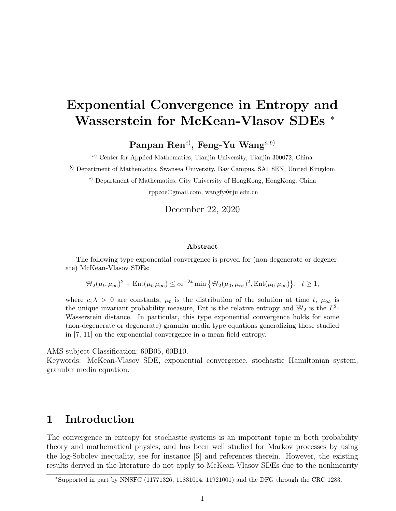# Exponential Convergence in Entropy and Wasserstein for McKean-Vlasov SDEs <sup>\*</sup>

 $\mathrm{Panpan\;Ren^{c)}\mathcal,~Feng\text{-}Yu\;Wang^{a,b)}}$ 

<sup>a</sup>) Center for Applied Mathematics, Tianjin University, Tianjin 300072, China

<sup>b</sup>) Department of Mathematics, Swansea University, Bay Campus, SA1 8EN, United Kingdom

<sup>c</sup>) Department of Mathematics, City University of HongKong, HongKong, China rppzoe@gmail.com, wangfy@tju.edu.cn

December 22, 2020

#### Abstract

The following type exponential convergence is proved for (non-degenerate or degenerate) McKean-Vlasov SDEs:

 $\mathbb{W}_2(\mu_t, \mu_\infty)^2 + \mathrm{Ent}(\mu_t|\mu_\infty) \leq c e^{-\lambda t} \min \left\{ \mathbb{W}_2(\mu_0, \mu_\infty)^2, \mathrm{Ent}(\mu_0|\mu_\infty) \right\}, \quad t \geq 1,$ 

where  $c, \lambda > 0$  are constants,  $\mu_t$  is the distribution of the solution at time t,  $\mu_\infty$  is the unique invariant probability measure, Ent is the relative entropy and  $\mathbb{W}_2$  is the  $L^2$ -Wasserstein distance. In particular, this type exponential convergence holds for some (non-degenerate or degenerate) granular media type equations generalizing those studied in [7, 11] on the exponential convergence in a mean field entropy.

AMS subject Classification: 60B05, 60B10.

Keywords: McKean-Vlasov SDE, exponential convergence, stochastic Hamiltonian system, granular media equation.

### 1 Introduction

The convergence in entropy for stochastic systems is an important topic in both probability theory and mathematical physics, and has been well studied for Markov processes by using the log-Sobolev inequality, see for instance [5] and references therein. However, the existing results derived in the literature do not apply to McKean-Vlasov SDEs due to the nonlinearity

<sup>∗</sup>Supported in part by NNSFC (11771326, 11831014, 11921001) and the DFG through the CRC 1283.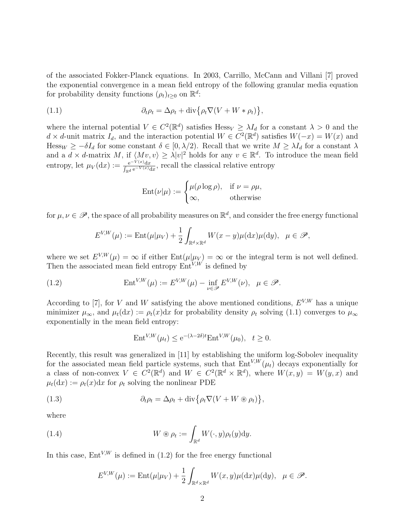of the associated Fokker-Planck equations. In 2003, Carrillo, McCann and Villani [7] proved the exponential convergence in a mean field entropy of the following granular media equation for probability density functions  $(\rho_t)_{t\geq 0}$  on  $\mathbb{R}^d$ :

(1.1) 
$$
\partial_t \rho_t = \Delta \rho_t + \text{div} \{ \rho_t \nabla (V + W * \rho_t) \},
$$

where the internal potential  $V \in C^2(\mathbb{R}^d)$  satisfies  $\text{Hess}_V \geq \lambda I_d$  for a constant  $\lambda > 0$  and the  $d \times d$ -unit matrix  $I_d$ , and the interaction potential  $W \in C^2(\mathbb{R}^d)$  satisfies  $W(-x) = W(x)$  and Hess<sub>W</sub>  $\geq -\delta I_d$  for some constant  $\delta \in [0, \lambda/2)$ . Recall that we write  $M \geq \lambda I_d$  for a constant  $\lambda$ and a  $d \times d$ -matrix M, if  $\langle Mv, v \rangle \geq \lambda |v|^2$  holds for any  $v \in \mathbb{R}^d$ . To introduce the mean field entropy, let  $\mu_V(\mathrm{d}x) := \frac{e^{-V(x)} \mathrm{d}x}{\int_{\mathbb{R}^d} e^{-V(x)} \mathrm{d}x}$ , recall the classical relative entropy

$$
Ent(\nu|\mu) := \begin{cases} \mu(\rho \log \rho), & \text{if } \nu = \rho\mu, \\ \infty, & \text{otherwise} \end{cases}
$$

for  $\mu, \nu \in \mathscr{P}$ , the space of all probability measures on  $\mathbb{R}^d$ , and consider the free energy functional

$$
E^{V,W}(\mu) := \mathrm{Ent}(\mu|\mu_V) + \frac{1}{2} \int_{\mathbb{R}^d \times \mathbb{R}^d} W(x - y) \mu(\mathrm{d}x) \mu(\mathrm{d}y), \quad \mu \in \mathscr{P},
$$

where we set  $E^{V,W}(\mu) = \infty$  if either  $Ent(\mu|\mu_V) = \infty$  or the integral term is not well defined. Then the associated mean field entropy  $\text{Ent}^{V,W}$  is defined by

(1.2) 
$$
\operatorname{Ent}^{V,W}(\mu) := E^{V,W}(\mu) - \inf_{\nu \in \mathscr{P}} E^{V,W}(\nu), \quad \mu \in \mathscr{P}.
$$

According to [7], for V and W satisfying the above mentioned conditions,  $E^{V,W}$  has a unique minimizer  $\mu_{\infty}$ , and  $\mu_t(\mathrm{d}x) := \rho_t(x) \mathrm{d}x$  for probability density  $\rho_t$  solving (1.1) converges to  $\mu_{\infty}$ exponentially in the mean field entropy:

$$
Ent^{V,W}(\mu_t) \le e^{-(\lambda - 2\delta)t} Ent^{V,W}(\mu_0), \quad t \ge 0.
$$

Recently, this result was generalized in [11] by establishing the uniform log-Sobolev inequality for the associated mean field particle systems, such that  $Ent^{V,W}(\mu_t)$  decays exponentially for a class of non-convex  $V \in C^2(\mathbb{R}^d)$  and  $W \in C^2(\mathbb{R}^d \times \mathbb{R}^d)$ , where  $W(x, y) = W(y, x)$  and  $\mu_t(\mathrm{d}x) := \rho_t(x) \mathrm{d}x$  for  $\rho_t$  solving the nonlinear PDE

(1.3) 
$$
\partial_t \rho_t = \Delta \rho_t + \text{div} \{ \rho_t \nabla (V + W \otimes \rho_t) \},
$$

where

(1.4) 
$$
W \circledast \rho_t := \int_{\mathbb{R}^d} W(\cdot, y) \rho_t(y) dy.
$$

In this case,  $Ent^{V,W}$  is defined in (1.2) for the free energy functional

$$
E^{V,W}(\mu) := \text{Ent}(\mu|\mu_V) + \frac{1}{2} \int_{\mathbb{R}^d \times \mathbb{R}^d} W(x, y) \mu(\mathrm{d}x) \mu(\mathrm{d}y), \quad \mu \in \mathscr{P}.
$$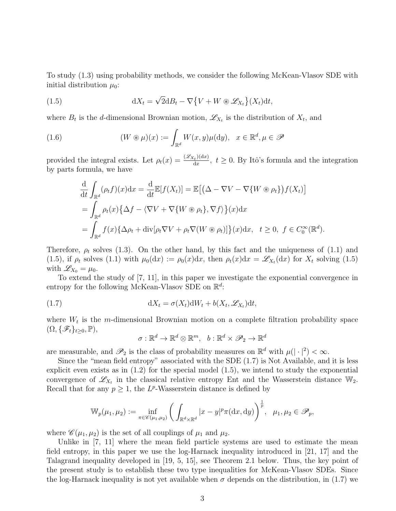To study (1.3) using probability methods, we consider the following McKean-Vlasov SDE with initial distribution  $\mu_0$ :

(1.5) 
$$
dX_t = \sqrt{2}dB_t - \nabla \{V + W \otimes \mathscr{L}_{X_t}\}(X_t)dt,
$$

where  $B_t$  is the d-dimensional Brownian motion,  $\mathscr{L}_{X_t}$  is the distribution of  $X_t$ , and

(1.6) 
$$
(W \circledast \mu)(x) := \int_{\mathbb{R}^d} W(x, y) \mu(\mathrm{d}y), \quad x \in \mathbb{R}^d, \mu \in \mathcal{P}
$$

provided the integral exists. Let  $\rho_t(x) = \frac{(\mathscr{L}_{X_t})(dx)}{dx}$  $\frac{d_{\mathcal{X}}(dx)}{dx}$ ,  $t \geq 0$ . By Itô's formula and the integration by parts formula, we have

$$
\frac{d}{dt} \int_{\mathbb{R}^d} (\rho_t f)(x) dx = \frac{d}{dt} \mathbb{E}[f(X_t)] = \mathbb{E}\big[ \big(\Delta - \nabla V - \nabla \{W \otimes \rho_t\} \big) f(X_t) \big]
$$
\n
$$
= \int_{\mathbb{R}^d} \rho_t(x) \{ \Delta f - \langle \nabla V + \nabla \{W \otimes \rho_t\}, \nabla f \rangle \} (x) dx
$$
\n
$$
= \int_{\mathbb{R}^d} f(x) \{ \Delta \rho_t + \text{div}[\rho_t \nabla V + \rho_t \nabla (W \otimes \rho_t)] \} (x) dx, \quad t \ge 0, \ f \in C_0^{\infty}(\mathbb{R}^d).
$$

Therefore,  $\rho_t$  solves (1.3). On the other hand, by this fact and the uniqueness of (1.1) and (1.5), if  $\rho_t$  solves (1.1) with  $\mu_0(dx) := \rho_0(x)dx$ , then  $\rho_t(x)dx = \mathscr{L}_{X_t}(dx)$  for  $X_t$  solving (1.5) with  $\mathscr{L}_{X_0} = \mu_0$ .

To extend the study of [7, 11], in this paper we investigate the exponential convergence in entropy for the following McKean-Vlasov SDE on  $\mathbb{R}^d$ :

(1.7) 
$$
dX_t = \sigma(X_t)dW_t + b(X_t, \mathcal{L}_{X_t})dt,
$$

where  $W_t$  is the m-dimensional Brownian motion on a complete filtration probability space  $(\Omega, {\{\mathscr{F}_t\}}_{t\geq0}, \mathbb{P}),$ 

$$
\sigma: \mathbb{R}^d \to \mathbb{R}^d \otimes \mathbb{R}^m, \ \ b: \mathbb{R}^d \times \mathscr{P}_2 \to \mathbb{R}^d
$$

are measurable, and  $\mathscr{P}_2$  is the class of probability measures on  $\mathbb{R}^d$  with  $\mu(|\cdot|^2) < \infty$ .

Since the "mean field entropy" associated with the SDE (1.7) is Not Available, and it is less explicit even exists as in  $(1.2)$  for the special model  $(1.5)$ , we intend to study the exponential convergence of  $\mathscr{L}_{X_t}$  in the classical relative entropy Ent and the Wasserstein distance  $\mathbb{W}_2$ . Recall that for any  $p \geq 1$ , the L<sup>p</sup>-Wasserstein distance is defined by

$$
\mathbb{W}_p(\mu_1, \mu_2) := \inf_{\pi \in \mathscr{C}(\mu_1, \mu_2)} \bigg( \int_{\mathbb{R}^d \times \mathbb{R}^d} |x - y|^p \pi(\mathrm{d}x, \mathrm{d}y) \bigg)^{\frac{1}{p}}, \quad \mu_1, \mu_2 \in \mathscr{P}_p,
$$

where  $\mathscr{C}(\mu_1, \mu_2)$  is the set of all couplings of  $\mu_1$  and  $\mu_2$ .

Unlike in [7, 11] where the mean field particle systems are used to estimate the mean field entropy, in this paper we use the log-Harnack inequality introduced in [21, 17] and the Talagrand inequality developed in [19, 5, 15], see Theorem 2.1 below. Thus, the key point of the present study is to establish these two type inequalities for McKean-Vlasov SDEs. Since the log-Harnack inequality is not yet available when  $\sigma$  depends on the distribution, in (1.7) we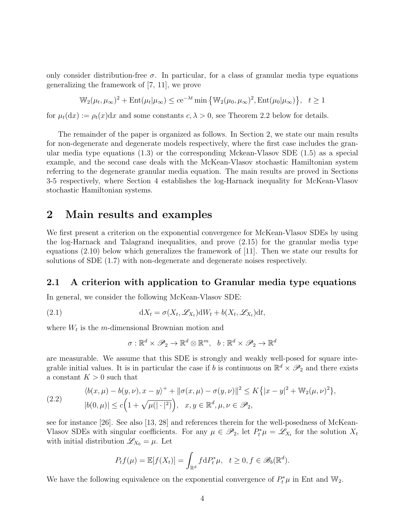only consider distribution-free  $\sigma$ . In particular, for a class of granular media type equations generalizing the framework of [7, 11], we prove

$$
\mathbb{W}_2(\mu_t, \mu_\infty)^2 + \text{Ent}(\mu_t | \mu_\infty) \le c e^{-\lambda t} \min \left\{ \mathbb{W}_2(\mu_0, \mu_\infty)^2, \text{Ent}(\mu_0 | \mu_\infty) \right\}, \quad t \ge 1
$$

for  $\mu_t(dx) := \rho_t(x)dx$  and some constants  $c, \lambda > 0$ , see Theorem 2.2 below for details.

The remainder of the paper is organized as follows. In Section 2, we state our main results for non-degenerate and degenerate models respectively, where the first case includes the granular media type equations (1.3) or the corresponding Mckean-Vlasov SDE (1.5) as a special example, and the second case deals with the McKean-Vlasov stochastic Hamiltonian system referring to the degenerate granular media equation. The main results are proved in Sections 3-5 respectively, where Section 4 establishes the log-Harnack inequality for McKean-Vlasov stochastic Hamiltonian systems.

### 2 Main results and examples

We first present a criterion on the exponential convergence for McKean-Vlasov SDEs by using the log-Harnack and Talagrand inequalities, and prove (2.15) for the granular media type equations (2.10) below which generalizes the framework of [11]. Then we state our results for solutions of SDE (1.7) with non-degenerate and degenerate noises respectively.

### 2.1 A criterion with application to Granular media type equations

In general, we consider the following McKean-Vlasov SDE:

(2.1) 
$$
dX_t = \sigma(X_t, \mathscr{L}_{X_t})dW_t + b(X_t, \mathscr{L}_{X_t})dt,
$$

where  $W_t$  is the m-dimensional Brownian motion and

$$
\sigma: \mathbb{R}^d \times \mathscr{P}_2 \to \mathbb{R}^d \otimes \mathbb{R}^m, \ \ b: \mathbb{R}^d \times \mathscr{P}_2 \to \mathbb{R}^d
$$

are measurable. We assume that this SDE is strongly and weakly well-posed for square integrable initial values. It is in particular the case if b is continuous on  $\mathbb{R}^d \times \mathcal{P}_2$  and there exists a constant  $K > 0$  such that

(2.2) 
$$
\langle b(x,\mu) - b(y,\nu), x - y \rangle^{+} + ||\sigma(x,\mu) - \sigma(y,\nu)||^{2} \le K \{ |x - y|^{2} + W_{2}(\mu,\nu)^{2} \}, |b(0,\mu)| \le c \Big( 1 + \sqrt{\mu(|\cdot|^{2})} \Big), \quad x, y \in \mathbb{R}^{d}, \mu, \nu \in \mathscr{P}_{2},
$$

see for instance [26]. See also [13, 28] and references therein for the well-posedness of McKean-Vlasov SDEs with singular coefficients. For any  $\mu \in \mathscr{P}_2$ , let  $P_t^* \mu = \mathscr{L}_{X_t}$  for the solution  $X_t$ with initial distribution  $\mathscr{L}_{X_0} = \mu$ . Let

$$
P_t f(\mu) = \mathbb{E}[f(X_t)] = \int_{\mathbb{R}^d} f \, dP_t^* \mu, \quad t \ge 0, f \in \mathscr{B}_b(\mathbb{R}^d).
$$

We have the following equivalence on the exponential convergence of  $P_t^*\mu$  in Ent and W<sub>2</sub>.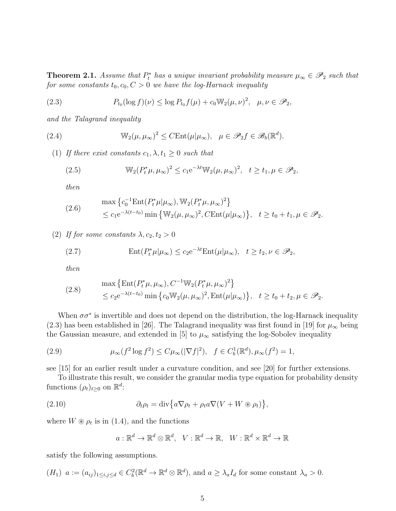**Theorem 2.1.** Assume that  $P_t^*$  has a unique invariant probability measure  $\mu_\infty \in \mathscr{P}_2$  such that for some constants  $t_0, c_0, C > 0$  we have the log-Harnack inequality

(2.3) 
$$
P_{t_0}(\log f)(\nu) \leq \log P_{t_0}f(\mu) + c_0 \mathbb{W}_2(\mu, \nu)^2, \quad \mu, \nu \in \mathscr{P}_2,
$$

and the Talagrand inequality

(2.4) 
$$
\mathbb{W}_2(\mu, \mu_\infty)^2 \leq C \text{Ent}(\mu | \mu_\infty), \quad \mu \in \mathscr{P}_2 f \in \mathscr{B}_b(\mathbb{R}^d).
$$

(1) If there exist constants  $c_1, \lambda, t_1 \geq 0$  such that

(2.5) 
$$
\mathbb{W}_2(P_t^*\mu, \mu_\infty)^2 \le c_1 e^{-\lambda t} \mathbb{W}_2(\mu, \mu_\infty)^2, \quad t \ge t_1, \mu \in \mathcal{P}_2,
$$

then

(2.6) 
$$
\max \left\{ c_0^{-1} \text{Ent}(P_t^* \mu | \mu_\infty), \mathbb{W}_2(P_t^* \mu, \mu_\infty)^2 \right\} \leq c_1 e^{-\lambda (t-t_0)} \min \left\{ \mathbb{W}_2(\mu, \mu_\infty)^2, C \text{Ent}(\mu | \mu_\infty) \right\}, \quad t \geq t_0 + t_1, \mu \in \mathcal{P}_2.
$$

(2) If for some constants  $\lambda, c_2, t_2 > 0$ 

(2.7) 
$$
\operatorname{Ent}(P_t^*\mu|\mu_\infty) \le c_2 e^{-\lambda t} \operatorname{Ent}(\mu|\mu_\infty), \quad t \ge t_2, \nu \in \mathscr{P}_2,
$$

then

(2.8) 
$$
\max \left\{ \text{Ent}(P_t^* \mu, \mu_\infty), C^{-1} \mathbb{W}_2(P_t^* \mu, \mu_\infty)^2 \right\} \n\le c_2 e^{-\lambda (t-t_0)} \min \left\{ c_0 \mathbb{W}_2(\mu, \mu_\infty)^2, \text{Ent}(\mu | \mu_\infty) \right\}, \quad t \ge t_0 + t_2, \mu \in \mathcal{P}_2.
$$

When  $\sigma \sigma^*$  is invertible and does not depend on the distribution, the log-Harnack inequality (2.3) has been established in [26]. The Talagrand inequality was first found in [19] for  $\mu_{\infty}$  being the Gaussian measure, and extended in [5] to  $\mu_{\infty}$  satisfying the log-Sobolev inequality

(2.9) 
$$
\mu_{\infty}(f^{2} \log f^{2}) \leq C \mu_{\infty}(|\nabla f|^{2}), \quad f \in C_{b}^{1}(\mathbb{R}^{d}), \mu_{\infty}(f^{2}) = 1,
$$

see [15] for an earlier result under a curvature condition, and see [20] for further extensions.

To illustrate this result, we consider the granular media type equation for probability density functions  $(\rho_t)_{t\geq 0}$  on  $\mathbb{R}^d$ :

(2.10) 
$$
\partial_t \rho_t = \text{div} \{ a \nabla \rho_t + \rho_t a \nabla (V + W \circledast \rho_t) \},
$$

where  $W \otimes \rho_t$  is in (1.4), and the functions

$$
a: \mathbb{R}^d \to \mathbb{R}^d \otimes \mathbb{R}^d
$$
,  $V: \mathbb{R}^d \to \mathbb{R}$ ,  $W: \mathbb{R}^d \times \mathbb{R}^d \to \mathbb{R}$ 

satisfy the following assumptions.

$$
(H_1)
$$
  $a := (a_{ij})_{1 \le i,j \le d} \in C_b^2(\mathbb{R}^d \to \mathbb{R}^d \otimes \mathbb{R}^d)$ , and  $a \ge \lambda_a I_d$  for some constant  $\lambda_a > 0$ .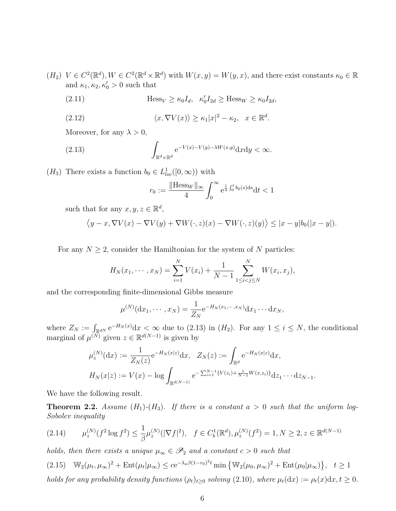- $(H_2)$   $V \in C^2(\mathbb{R}^d), W \in C^2(\mathbb{R}^d \times \mathbb{R}^d)$  with  $W(x, y) = W(y, x)$ , and there exist constants  $\kappa_0 \in \mathbb{R}$ and  $\kappa_1, \kappa_2, \kappa'_0 > 0$  such that
	- (2.11)  $\qquad \qquad \text{Hess}_{V} \geq \kappa_0 I_d, \quad \kappa_0' I_{2d} \geq \text{Hess}_{W} \geq \kappa_0 I_{2d},$

(2.12) 
$$
\langle x, \nabla V(x) \rangle \ge \kappa_1 |x|^2 - \kappa_2, \quad x \in \mathbb{R}^d.
$$

Moreover, for any  $\lambda > 0$ ,

(2.13) 
$$
\int_{\mathbb{R}^d \times \mathbb{R}^d} e^{-V(x) - V(y) - \lambda W(x,y)} dxdy < \infty.
$$

 $(H_3)$  There exists a function  $b_0 \in L^1_{loc}([0,\infty))$  with

$$
r_0 := \frac{\|\text{Hess}_W\|_{\infty}}{4} \int_0^{\infty} e^{\frac{1}{4} \int_0^t b_0(s) ds} dt < 1
$$

such that for any  $x, y, z \in \mathbb{R}^d$ ,

$$
\langle y - x, \nabla V(x) - \nabla V(y) + \nabla W(\cdot, z)(x) - \nabla W(\cdot, z)(y) \rangle \leq |x - y|b_0(|x - y|).
$$

For any  $N \geq 2$ , consider the Hamiltonian for the system of N particles:

$$
H_N(x_1, \dots, x_N) = \sum_{i=1}^N V(x_i) + \frac{1}{N-1} \sum_{1 \le i < j \le N}^N W(x_i, x_j),
$$

and the corresponding finite-dimensional Gibbs measure

$$
\mu^{(N)}(dx_1, \cdots, x_N) = \frac{1}{Z_N} e^{-H_N(x_1, \cdots, x_N)} dx_1 \cdots dx_N,
$$

where  $Z_N := \int_{\mathbb{R}^{dN}} e^{-H_N(x)} dx < \infty$  due to (2.13) in  $(H_2)$ . For any  $1 \le i \le N$ , the conditional marginal of  $\mu^{(\tilde{N})}$  given  $z \in \mathbb{R}^{d(N-1)}$  is given by

$$
\mu_z^{(N)}(dx) := \frac{1}{Z_N(z)} e^{-H_N(x|z)} dx, \quad Z_N(z) := \int_{\mathbb{R}^d} e^{-H_N(x|z)} dx,
$$

$$
H_N(x|z) := V(x) - \log \int_{\mathbb{R}^{d(N-1)}} e^{-\sum_{i=1}^{N-1} \{V(z_i) + \frac{1}{N-1} W(x,z_i)\}} dz_1 \cdots dz_{N-1}.
$$

We have the following result.

**Theorem 2.2.** Assume  $(H_1)-(H_3)$ . If there is a constant  $a > 0$  such that the uniform log-Sobolev inequality

$$
(2.14) \qquad \mu_z^{(N)}(f^2 \log f^2) \le \frac{1}{\beta} \mu_z^{(N)}(|\nabla f|^2), \quad f \in C_b^1(\mathbb{R}^d), \mu_z^{(N)}(f^2) = 1, N \ge 2, z \in \mathbb{R}^{d(N-1)}
$$

holds, then there exists a unique  $\mu_{\infty} \in \mathscr{P}_2$  and a constant  $c > 0$  such that

(2.15) 
$$
\mathbb{W}_2(\mu_t, \mu_\infty)^2 + \text{Ent}(\mu_t|\mu_\infty) \leq c e^{-\lambda_a \beta (1-r_0)^2 t} \min \left\{ \mathbb{W}_2(\mu_0, \mu_\infty)^2 + \text{Ent}(\mu_0|\mu_\infty) \right\}, \quad t \geq 1
$$
  
holds for any probability density functions  $(\rho_t)_{t \geq 0}$  solving (2.10), where  $\mu_t(\mathrm{d}x) := \rho_t(x) \mathrm{d}x, t \geq 0$ .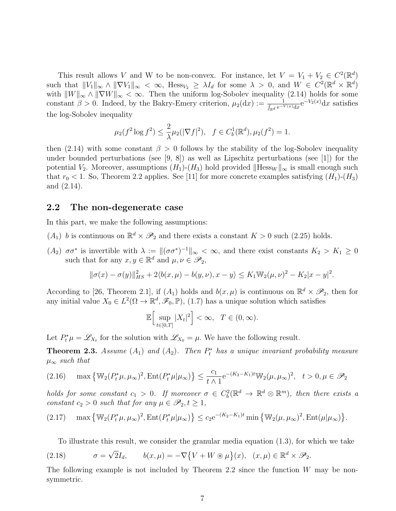This result allows V and W to be non-convex. For instance, let  $V = V_1 + V_2 \in C^2(\mathbb{R}^d)$ such that  $||V_1||_{\infty} \wedge ||\nabla V_1||_{\infty} < \infty$ , Hess $_{V_2} \geq \lambda I_d$  for some  $\lambda > 0$ , and  $W \in C^2(\mathbb{R}^d \times \mathbb{R}^d)$ with  $||W||_{\infty} \wedge ||\nabla W||_{\infty} < \infty$ . Then the uniform log-Sobolev inequality (2.14) holds for some constant  $\beta > 0$ . Indeed, by the Bakry-Emery criterion,  $\mu_2(\mathrm{d}x) := \frac{1}{\int_{\mathbb{R}^d} e^{-V(x)} \mathrm{d}x} e^{-V_2(x)} \mathrm{d}x$  satisfies the log-Sobolev inequality

$$
\mu_2(f^2 \log f^2) \le \frac{2}{\lambda} \mu_2(|\nabla f|^2), \quad f \in C_b^1(\mathbb{R}^d), \mu_2(f^2) = 1.
$$

then (2.14) with some constant  $\beta > 0$  follows by the stability of the log-Sobolev inequality under bounded perturbations (see  $(9, 8)$ ) as well as Lipschitz perturbations (see [1]) for the potential  $V_2$ . Moreover, assumptions  $(H_1)-(H_3)$  hold provided  $\|\text{Hess}_W\|_{\infty}$  is small enough such that  $r_0 < 1$ . So, Theorem 2.2 applies. See [11] for more concrete examples satisfying  $(H_1)-(H_3)$ and (2.14).

#### 2.2 The non-degenerate case

In this part, we make the following assumptions:

- $(A_1)$  b is continuous on  $\mathbb{R}^d \times \mathcal{P}_2$  and there exists a constant  $K > 0$  such  $(2.25)$  holds.
- (A<sub>2</sub>) σσ<sup>\*</sup> is invertible with  $\lambda := ||(\sigma \sigma^*)^{-1}||_{\infty} < \infty$ , and there exist constants  $K_2 > K_1 \geq 0$ such that for any  $x, y \in \mathbb{R}^d$  and  $\mu, \nu \in \mathscr{P}_2$ ,

$$
\|\sigma(x) - \sigma(y)\|_{HS}^2 + 2\langle b(x,\mu) - b(y,\nu), x - y \rangle \le K_1 \mathbb{W}_2(\mu, \nu)^2 - K_2 |x - y|^2.
$$

According to [26, Theorem 2.1], if  $(A_1)$  holds and  $b(x,\mu)$  is continuous on  $\mathbb{R}^d \times \mathscr{P}_2$ , then for any initial value  $X_0 \in L^2(\Omega \to \mathbb{R}^d, \mathscr{F}_0, \mathbb{P}),$  (1.7) has a unique solution which satisfies

$$
\mathbb{E}\Big[\sup_{t\in[0,T]}|X_t|^2\Big]<\infty,\ \ T\in(0,\infty).
$$

Let  $P_t^* \mu = \mathscr{L}_{X_t}$  for the solution with  $\mathscr{L}_{X_0} = \mu$ . We have the following result.

**Theorem 2.3.** Assume  $(A_1)$  and  $(A_2)$ . Then  $P_t^*$  has a unique invariant probability measure  $\mu_{\infty}$  such that

$$
(2.16)\quad \max\left\{\mathbb{W}_2(P_t^*\mu,\mu_\infty)^2,\text{Ent}(P_t^*\mu|\mu_\infty)\right\} \le \frac{c_1}{t\wedge 1}e^{-(K_2-K_1)t}\mathbb{W}_2(\mu,\mu_\infty)^2, \quad t>0, \mu\in\mathscr{P}_2
$$

holds for some constant  $c_1 > 0$ . If moreover  $\sigma \in C_b^2(\mathbb{R}^d \to \mathbb{R}^d \otimes \mathbb{R}^m)$ , then there exists a constant  $c_2 > 0$  such that for any  $\mu \in \mathscr{P}_2, t \geq 1$ ,

$$
(2.17) \quad \max\left\{\mathbb{W}_2(P_t^*\mu,\mu_\infty)^2,\text{Ent}(P_t^*\mu|\mu_\infty)\right\} \le c_2 e^{-(K_2-K_1)t} \min\left\{\mathbb{W}_2(\mu,\mu_\infty)^2,\text{Ent}(\mu|\mu_\infty)\right\}.
$$

To illustrate this result, we consider the granular media equation (1.3), for which we take

(2.18) 
$$
\sigma = \sqrt{2}I_d, \qquad b(x,\mu) = -\nabla\{V + W \circledast \mu\}(x), \quad (x,\mu) \in \mathbb{R}^d \times \mathscr{P}_2.
$$

The following example is not included by Theorem 2.2 since the function  $W$  may be nonsymmetric.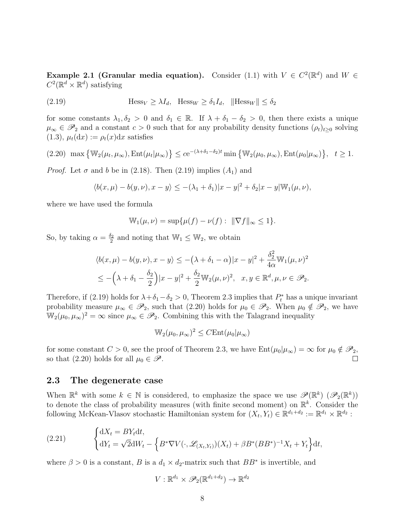**Example 2.1 (Granular media equation).** Consider (1.1) with  $V \in C^2(\mathbb{R}^d)$  and  $W \in$  $C^2(\mathbb{R}^d \times \mathbb{R}^d)$  satisfying

(2.19) 
$$
\text{Hess}_V \ge \lambda I_d, \quad \text{Hess}_W \ge \delta_1 I_d, \quad \|\text{Hess}_W\| \le \delta_2
$$

for some constants  $\lambda_1, \delta_2 > 0$  and  $\delta_1 \in \mathbb{R}$ . If  $\lambda + \delta_1 - \delta_2 > 0$ , then there exists a unique  $\mu_{\infty} \in \mathscr{P}_2$  and a constant  $c > 0$  such that for any probability density functions  $(\rho_t)_{t>0}$  solving  $(1.3), \mu_t(\mathrm{d}x) := \rho_t(x) \mathrm{d}x$  satisfies

$$
(2.20) \ \max\left\{\mathbb{W}_2(\mu_t, \mu_\infty), \operatorname{Ent}(\mu_t|\mu_\infty)\right\} \le c e^{-(\lambda + \delta_1 - \delta_2)t} \min\left\{\mathbb{W}_2(\mu_0, \mu_\infty), \operatorname{Ent}(\mu_0|\mu_\infty)\right\}, \quad t \ge 1.
$$

*Proof.* Let  $\sigma$  and b be in (2.18). Then (2.19) implies ( $A_1$ ) and

$$
\langle b(x,\mu)-b(y,\nu),x-y\rangle\leq-(\lambda_1+\delta_1)|x-y|^2+\delta_2|x-y|\mathbb{W}_1(\mu,\nu),
$$

where we have used the formula

$$
\mathbb{W}_1(\mu, \nu) = \sup \{ \mu(f) - \nu(f) : \ \|\nabla f\|_{\infty} \le 1 \}.
$$

So, by taking  $\alpha = \frac{\delta_2}{2}$  $\frac{\delta_2}{2}$  and noting that  $\mathbb{W}_1 \leq \mathbb{W}_2$ , we obtain

$$
\langle b(x,\mu) - b(y,\nu), x - y \rangle \le -(\lambda + \delta_1 - \alpha)|x - y|^2 + \frac{\delta_2^2}{4\alpha} \mathbb{W}_1(\mu, \nu)^2
$$
  

$$
\le -(\lambda + \delta_1 - \frac{\delta_2}{2})|x - y|^2 + \frac{\delta_2}{2} \mathbb{W}_2(\mu, \nu)^2, \quad x, y \in \mathbb{R}^d, \mu, \nu \in \mathcal{P}_2.
$$

Therefore, if (2.19) holds for  $\lambda + \delta_1 - \delta_2 > 0$ , Theorem 2.3 implies that  $P_t^*$  has a unique invariant probability measure  $\mu_{\infty} \in \mathscr{P}_2$ , such that (2.20) holds for  $\mu_0 \in \mathscr{P}_2$ . When  $\mu_0 \notin \mathscr{P}_2$ , we have  $\mathbb{W}_2(\mu_0, \mu_\infty)^2 = \infty$  since  $\mu_\infty \in \mathscr{P}_2$ . Combining this with the Talagrand inequality

$$
\mathbb{W}_2(\mu_0, \mu_\infty)^2 \leq C \mathrm{Ent}(\mu_0 | \mu_\infty)
$$

for some constant  $C > 0$ , see the proof of Theorem 2.3, we have  $Ent(\mu_0|\mu_\infty) = \infty$  for  $\mu_0 \notin \mathscr{P}_2$ , so that (2.20) holds for all  $\mu_0 \in \mathscr{P}$ .

### 2.3 The degenerate case

When  $\mathbb{R}^k$  with some  $k \in \mathbb{N}$  is considered, to emphasize the space we use  $\mathscr{P}(\mathbb{R}^k)$   $(\mathscr{P}_2(\mathbb{R}^k))$ to denote the class of probability measures (with finite second moment) on  $\mathbb{R}^k$ . Consider the following McKean-Vlasov stochastic Hamiltonian system for  $(X_t, Y_t) \in \mathbb{R}^{d_1+d_2} := \mathbb{R}^{d_1} \times \mathbb{R}^{d_2}$ :

(2.21) 
$$
\begin{cases} dX_t = BY_t dt, \\ dY_t = \sqrt{2}dW_t - \left\{ B^* \nabla V(\cdot, \mathcal{L}_{(X_t, Y_t)})(X_t) + \beta B^*(BB^*)^{-1} X_t + Y_t \right\} dt, \end{cases}
$$

where  $\beta > 0$  is a constant, B is a  $d_1 \times d_2$ -matrix such that  $BB^*$  is invertible, and

$$
V: \mathbb{R}^{d_1} \times \mathscr{P}_2(\mathbb{R}^{d_1+d_2}) \to \mathbb{R}^{d_2}
$$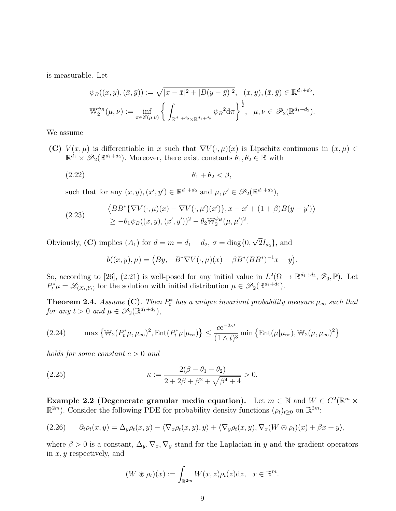is measurable. Let

$$
\psi_B((x, y), (\bar{x}, \bar{y})) := \sqrt{|x - \bar{x}|^2 + |B(y - \bar{y})|^2}, \quad (x, y), (\bar{x}, \bar{y}) \in \mathbb{R}^{d_1 + d_2},
$$
  

$$
\mathbb{W}_2^{\psi_B}(\mu, \nu) := \inf_{\pi \in \mathscr{C}(\mu, \nu)} \left\{ \int_{\mathbb{R}^{d_1 + d_2} \times \mathbb{R}^{d_1 + d_2}} \psi_B^2 d\pi \right\}^{\frac{1}{2}}, \quad \mu, \nu \in \mathscr{P}_2(\mathbb{R}^{d_1 + d_2}).
$$

We assume

(C)  $V(x,\mu)$  is differentiable in x such that  $\nabla V(\cdot,\mu)(x)$  is Lipschitz continuous in  $(x,\mu) \in$  $\mathbb{R}^{d_1} \times \mathscr{P}_2(\mathbb{R}^{d_1+d_2})$ . Moreover, there exist constants  $\theta_1, \theta_2 \in \mathbb{R}$  with

$$
(2.22) \t\t \theta_1 + \theta_2 < \beta,
$$

such that for any  $(x, y), (x', y') \in \mathbb{R}^{d_1+d_2}$  and  $\mu, \mu' \in \mathscr{P}_2(\mathbb{R}^{d_1+d_2}),$ 

(2.23) 
$$
\langle BB^* \{ \nabla V(\cdot, \mu)(x) - \nabla V(\cdot, \mu')(x') \}, x - x' + (1 + \beta) B(y - y') \rangle \ge -\theta_1 \psi_B((x, y), (x', y'))^2 - \theta_2 \mathbb{W}_2^{\psi_B}(\mu, \mu')^2.
$$

Obviously, (C) implies  $(A_1)$  for  $d = m = d_1 + d_2$ ,  $\sigma = \text{diag}\{0,$ √  $2I_{d_2}$ , and

$$
b((x, y), \mu) = (By, -B^* \nabla V(\cdot, \mu)(x) - \beta B^* (BB^*)^{-1} x - y).
$$

So, according to [26], (2.21) is well-posed for any initial value in  $L^2(\Omega \to \mathbb{R}^{d_1+d_2}, \mathscr{F}_0, \mathbb{P})$ . Let  $P_t^* \mu = \mathscr{L}_{(X_t, Y_t)}$  for the solution with initial distribution  $\mu \in \mathscr{P}_2(\mathbb{R}^{d_1 + d_2})$ .

**Theorem 2.4.** Assume (C). Then  $P_t^*$  has a unique invariant probability measure  $\mu_{\infty}$  such that for any  $t > 0$  and  $\mu \in \mathscr{P}_2(\mathbb{R}^{d_1+d_2}),$ 

(2.24) 
$$
\max \left\{ \mathbb{W}_2(P_t^*\mu, \mu_\infty)^2, \text{Ent}(P_t^*\mu|\mu_\infty) \right\} \leq \frac{ce^{-2\kappa t}}{(1 \wedge t)^3} \min \left\{ \text{Ent}(\mu|\mu_\infty), \mathbb{W}_2(\mu, \mu_\infty)^2 \right\}
$$

holds for some constant  $c > 0$  and

(2.25) 
$$
\kappa := \frac{2(\beta - \theta_1 - \theta_2)}{2 + 2\beta + \beta^2 + \sqrt{\beta^4 + 4}} > 0.
$$

Example 2.2 (Degenerate granular media equation). Let  $m \in \mathbb{N}$  and  $W \in C^2(\mathbb{R}^m \times$  $\mathbb{R}^{2m}$ ). Consider the following PDE for probability density functions  $(\rho_t)_{t\geq0}$  on  $\mathbb{R}^{2m}$ :

(2.26) 
$$
\partial_t \rho_t(x,y) = \Delta_y \rho_t(x,y) - \langle \nabla_x \rho_t(x,y), y \rangle + \langle \nabla_y \rho_t(x,y), \nabla_x (W \otimes \rho_t)(x) + \beta x + y \rangle,
$$

where  $\beta > 0$  is a constant,  $\Delta_y$ ,  $\nabla_x$ ,  $\nabla_y$  stand for the Laplacian in y and the gradient operators in  $x, y$  respectively, and

$$
(W \circledast \rho_t)(x) := \int_{\mathbb{R}^{2m}} W(x, z) \rho_t(z) \mathrm{d} z, \quad x \in \mathbb{R}^m.
$$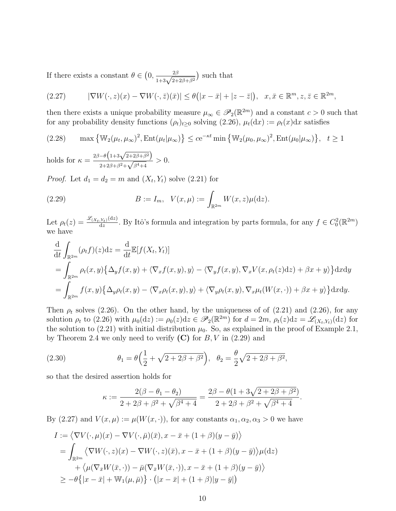If there exists a constant  $\theta \in \left(0, \frac{2\beta}{1+3\sqrt{2+2\beta+\beta^2}}\right)$  such that

$$
(2.27) \qquad |\nabla W(\cdot, z)(x) - \nabla W(\cdot, \bar{z})(\bar{x})| \le \theta(|x - \bar{x}| + |z - \bar{z}|), \quad x, \bar{x} \in \mathbb{R}^m, z, \bar{z} \in \mathbb{R}^{2m},
$$

then there exists a unique probability measure  $\mu_{\infty} \in \mathscr{P}_2(\mathbb{R}^{2m})$  and a constant  $c > 0$  such that for any probability density functions  $(\rho_t)_{t\geq 0}$  solving  $(2.26)$ ,  $\mu_t(\mathrm{d}x) := \rho_t(x) \mathrm{d}x$  satisfies

(2.28) 
$$
\max \left\{ \mathbb{W}_2(\mu_t, \mu_\infty)^2, \text{Ent}(\mu_t | \mu_\infty) \right\} \leq c e^{-\kappa t} \min \left\{ \mathbb{W}_2(\mu_0, \mu_\infty)^2, \text{Ent}(\mu_0 | \mu_\infty) \right\}, \quad t \geq 1
$$

holds for  $\kappa = \frac{2\beta - \theta \left(1 + 3\sqrt{2 + 2\beta + \beta^2}\right)}{2\beta \sqrt{2 + 2\beta + \beta^2}}$  $\frac{-\sigma(1+3\sqrt{2+2\beta+\beta^2})}{2+2\beta+\beta^2+\sqrt{\beta^4+4}}>0.$ 

*Proof.* Let  $d_1 = d_2 = m$  and  $(X_t, Y_t)$  solve  $(2.21)$  for

(2.29) 
$$
B := I_m, \ \ V(x,\mu) := \int_{\mathbb{R}^{2m}} W(x,z)\mu(\mathrm{d}z).
$$

Let  $\rho_t(z) = \frac{\mathscr{L}_{(X_t, Y_t)}(\mathrm{d}z)}{\mathrm{d}z}$  $\frac{d(x,y)}{dz}$ . By Itô's formula and integration by parts formula, for any  $f \in C_0^2(\mathbb{R}^{2m})$ we have

$$
\frac{d}{dt} \int_{\mathbb{R}^{2m}} (\rho_t f)(z) dz = \frac{d}{dt} \mathbb{E}[f(X_t, Y_t)]
$$
\n
$$
= \int_{\mathbb{R}^{2m}} \rho_t(x, y) \{ \Delta_y f(x, y) + \langle \nabla_x f(x, y), y \rangle - \langle \nabla_y f(x, y), \nabla_x V(x, \rho_t(z) dz) + \beta x + y \rangle \} dxdy
$$
\n
$$
= \int_{\mathbb{R}^{2m}} f(x, y) \{ \Delta_y \rho_t(x, y) - \langle \nabla_x \rho_t(x, y), y \rangle + \langle \nabla_y \rho_t(x, y), \nabla_x \mu_t(W(x, \cdot)) + \beta x + y \rangle \} dxdy.
$$

Then  $\rho_t$  solves (2.26). On the other hand, by the uniqueness of of (2.21) and (2.26), for any solution  $\rho_t$  to (2.26) with  $\mu_0(\mathrm{d}z) := \rho_0(z)\mathrm{d}z \in \mathscr{P}_2(\mathbb{R}^{2m})$  for  $d = 2m$ ,  $\rho_t(z)\mathrm{d}z = \mathscr{L}_{(X_t,Y_t)}(\mathrm{d}z)$  for the solution to (2.21) with initial distribution  $\mu_0$ . So, as explained in the proof of Example 2.1, by Theorem 2.4 we only need to verify  $(C)$  for  $B, V$  in  $(2.29)$  and

(2.30) 
$$
\theta_1 = \theta \Big( \frac{1}{2} + \sqrt{2 + 2\beta + \beta^2} \Big), \ \ \theta_2 = \frac{\theta}{2} \sqrt{2 + 2\beta + \beta^2},
$$

so that the desired assertion holds for

$$
\kappa := \frac{2(\beta - \theta_1 - \theta_2)}{2 + 2\beta + \beta^2 + \sqrt{\beta^4 + 4}} = \frac{2\beta - \theta(1 + 3\sqrt{2 + 2\beta + \beta^2})}{2 + 2\beta + \beta^2 + \sqrt{\beta^4 + 4}}
$$

.

By (2.27) and  $V(x,\mu) := \mu(W(x,\cdot))$ , for any constants  $\alpha_1, \alpha_2, \alpha_3 > 0$  we have

$$
I := \langle \nabla V(\cdot, \mu)(x) - \nabla V(\cdot, \bar{\mu})(\bar{x}), x - \bar{x} + (1 + \beta)(y - \bar{y}) \rangle
$$
  
\n
$$
= \int_{\mathbb{R}^{2m}} \langle \nabla W(\cdot, z)(x) - \nabla W(\cdot, z)(\bar{x}), x - \bar{x} + (1 + \beta)(y - \bar{y}) \rangle \mu(\mathrm{d}z)
$$
  
\n
$$
+ \langle \mu(\nabla_{\bar{x}} W(\bar{x}, \cdot)) - \bar{\mu}(\nabla_{\bar{x}} W(\bar{x}, \cdot)), x - \bar{x} + (1 + \beta)(y - \bar{y}) \rangle
$$
  
\n
$$
\geq -\theta \{ |x - \bar{x}| + \mathbb{W}_1(\mu, \bar{\mu}) \} \cdot (|x - \bar{x}| + (1 + \beta)|y - \bar{y}|)
$$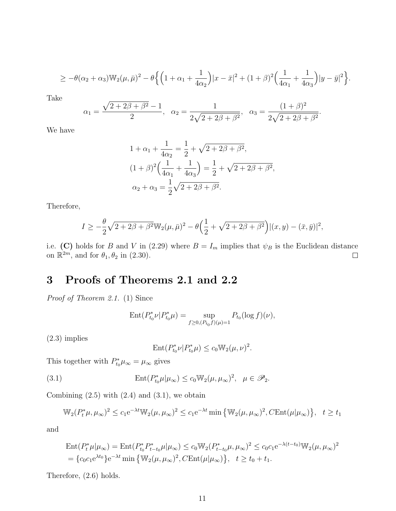$$
\geq -\theta(\alpha_2+\alpha_3)\mathbb{W}_2(\mu,\bar{\mu})^2 - \theta \Big\{ \Big(1+\alpha_1+\frac{1}{4\alpha_2}\Big)|x-\bar{x}|^2 + (1+\beta)^2 \Big(\frac{1}{4\alpha_1}+\frac{1}{4\alpha_3}\Big)|y-\bar{y}|^2 \Big\}.
$$

Take

$$
\alpha_1 = \frac{\sqrt{2 + 2\beta + \beta^2} - 1}{2}, \quad \alpha_2 = \frac{1}{2\sqrt{2 + 2\beta + \beta^2}}, \quad \alpha_3 = \frac{(1 + \beta)^2}{2\sqrt{2 + 2\beta + \beta^2}}.
$$

We have

$$
1 + \alpha_1 + \frac{1}{4\alpha_2} = \frac{1}{2} + \sqrt{2 + 2\beta + \beta^2},
$$
  
\n
$$
(1 + \beta)^2 \left(\frac{1}{4\alpha_1} + \frac{1}{4\alpha_3}\right) = \frac{1}{2} + \sqrt{2 + 2\beta + \beta^2},
$$
  
\n
$$
\alpha_2 + \alpha_3 = \frac{1}{2}\sqrt{2 + 2\beta + \beta^2}.
$$

Therefore,

$$
I \ge -\frac{\theta}{2}\sqrt{2+2\beta+\beta^2}W_2(\mu,\bar{\mu})^2 - \theta\Big(\frac{1}{2}+\sqrt{2+2\beta+\beta^2}\Big)|(x,y)-(\bar{x},\bar{y})|^2,
$$

i.e. (C) holds for B and V in (2.29) where  $B = I_m$  implies that  $\psi_B$  is the Euclidean distance on  $\mathbb{R}^{2m}$ , and for  $\theta_1, \theta_2$  in (2.30).

# 3 Proofs of Theorems 2.1 and 2.2

Proof of Theorem 2.1. (1) Since

$$
Ent(P_{t_0}^* \nu | P_{t_0}^* \mu) = \sup_{f \ge 0, (P_{t_0} f)(\mu) = 1} P_{t_0}(\log f)(\nu),
$$

(2.3) implies

$$
Ent(P_{t_0}^* \nu | P_{t_0}^* \mu) \le c_0 W_2(\mu, \nu)^2.
$$

This together with  $P_{t_0}^* \mu_\infty = \mu_\infty$  gives

(3.1) 
$$
\operatorname{Ent}(P_{t_0}^*\mu|\mu_\infty) \le c_0 \mathbb{W}_2(\mu,\mu_\infty)^2, \quad \mu \in \mathscr{P}_2.
$$

Combining  $(2.5)$  with  $(2.4)$  and  $(3.1)$ , we obtain

$$
\mathbb{W}_2(P_t^*\mu, \mu_\infty)^2 \le c_1 e^{-\lambda t} \mathbb{W}_2(\mu, \mu_\infty)^2 \le c_1 e^{-\lambda t} \min\left\{\mathbb{W}_2(\mu, \mu_\infty)^2, C\text{Ent}(\mu|\mu_\infty)\right\}, \quad t \ge t_1
$$

and

Ent
$$
(P_t^* \mu | \mu_\infty)
$$
 = Ent $(P_{t_0}^* P_{t-t_0}^* \mu | \mu_\infty) \le c_0 W_2 (P_{t-t_0}^* \mu, \mu_\infty)^2 \le c_0 c_1 e^{-\lambda (t-t_0)} W_2 (\mu, \mu_\infty)^2$   
=  $\{c_0 c_1 e^{\lambda t_0}\} e^{-\lambda t} \min \{W_2 (\mu, \mu_\infty)^2, C \text{Ent}(\mu | \mu_\infty)\}, \quad t \ge t_0 + t_1.$ 

Therefore, (2.6) holds.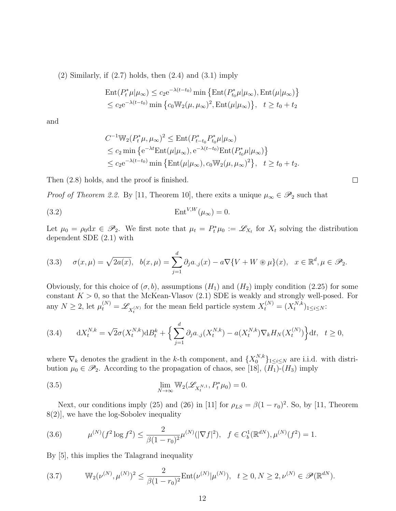$(2)$  Similarly, if  $(2.7)$  holds, then  $(2.4)$  and  $(3.1)$  imply

$$
\operatorname{Ent}(P_t^*\mu|\mu_\infty) \le c_2 e^{-\lambda(t-t_0)} \min \left\{ \operatorname{Ent}(P_{t_0}^*\mu|\mu_\infty), \operatorname{Ent}(\mu|\mu_\infty) \right\}
$$
  

$$
\le c_2 e^{-\lambda(t-t_0)} \min \left\{ c_0 \mathbb{W}_2(\mu, \mu_\infty)^2, \operatorname{Ent}(\mu|\mu_\infty) \right\}, \quad t \ge t_0 + t_2
$$

and

$$
C^{-1} \mathbb{W}_2(P_t^* \mu, \mu_\infty)^2 \le \text{Ent}(P_{t-t_0}^* P_{t_0}^* \mu | \mu_\infty)
$$
  
\n
$$
\le c_2 \min \left\{ e^{-\lambda t} \text{Ent}(\mu | \mu_\infty), e^{-\lambda (t-t_0)} \text{Ent}(P_{t_0}^* \mu | \mu_\infty) \right\}
$$
  
\n
$$
\le c_2 e^{-\lambda (t-t_0)} \min \left\{ \text{Ent}(\mu | \mu_\infty), c_0 \mathbb{W}_2(\mu, \mu_\infty)^2 \right\}, \quad t \ge t_0 + t_2.
$$

Then (2.8) holds, and the proof is finished.

*Proof of Theorem 2.2.* By [11, Theorem 10], there exits a unique  $\mu_{\infty} \in \mathscr{P}_2$  such that

$$
\text{(3.2)} \quad \text{Ent}^{V,W}(\mu_\infty) = 0.
$$

Let  $\mu_0 = \rho_0 dx \in \mathscr{P}_2$ . We first note that  $\mu_t = P_t^* \mu_0 := \mathscr{L}_{X_t}$  for  $X_t$  solving the distribution dependent SDE (2.1) with

(3.3) 
$$
\sigma(x,\mu) = \sqrt{2a(x)}, \quad b(x,\mu) = \sum_{j=1}^d \partial_j a_{\cdot,j}(x) - a\nabla\{V + W \circledast \mu\}(x), \quad x \in \mathbb{R}^d, \mu \in \mathcal{P}_2.
$$

Obviously, for this choice of  $(\sigma, b)$ , assumptions  $(H_1)$  and  $(H_2)$  imply condition (2.25) for some constant  $K > 0$ , so that the McKean-Vlasov  $(2.1)$  SDE is weakly and strongly well-posed. For any  $N \ge 2$ , let  $\mu_t^{(N)} = \mathscr{L}_{X_t^{(N)}}$  for the mean field particle system  $X_t^{(N)} = (X_t^{N,k})$  $t^{N,k})_{1\leq i\leq N}$ :

$$
(3.4) \t dX_t^{N,k} = \sqrt{2}\sigma(X_t^{N,k})dB_t^k + \Big\{\sum_{j=1}^d \partial_j a_{\cdot,j}(X_t^{N,k}) - a(X_t^{N,k})\nabla_k H_N(X_t^{(N)})\Big\}dt, \quad t \ge 0,
$$

where  $\nabla_k$  denotes the gradient in the k-th component, and  $\{X_0^{N,k}\}_{1\leq i\leq N}$  are i.i.d. with distribution  $\mu_0 \in \mathscr{P}_2$ . According to the propagation of chaos, see [18],  $(H_1)$ - $(H_3)$  imply

(3.5) 
$$
\lim_{N \to \infty} \mathbb{W}_2(\mathscr{L}_{X_t^{N,1}}, P_t^* \mu_0) = 0.
$$

Next, our conditions imply (25) and (26) in [11] for  $\rho_{LS} = \beta(1 - r_0)^2$ . So, by [11, Theorem 8(2)], we have the log-Sobolev inequality

(3.6) 
$$
\mu^{(N)}(f^2 \log f^2) \le \frac{2}{\beta(1-r_0)^2} \mu^{(N)}(|\nabla f|^2), \quad f \in C_b^1(\mathbb{R}^{dN}), \mu^{(N)}(f^2) = 1.
$$

By [5], this implies the Talagrand inequality

(3.7) 
$$
\mathbb{W}_2(\nu^{(N)}, \mu^{(N)})^2 \leq \frac{2}{\beta(1-r_0)^2} \text{Ent}(\nu^{(N)}|\mu^{(N)}), \quad t \geq 0, N \geq 2, \nu^{(N)} \in \mathscr{P}(\mathbb{R}^{dN}).
$$

 $\Box$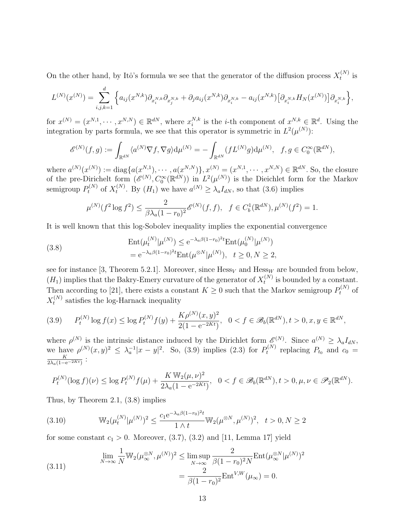On the other hand, by Itô's formula we see that the generator of the diffusion process  $X_t^{(N)}$  $t^{(N)}$  is

$$
L^{(N)}(x^{(N)}) = \sum_{i,j,k=1}^d \left\{ a_{ij}(x^{N,k}) \partial_{x_i^{N,k}} \partial_{x_j^{N,k}} + \partial_j a_{ij}(x^{N,k}) \partial_{x_i^{N,k}} - a_{ij}(x^{N,k}) \left[ \partial_{x_i^{N,k}} H_N(x^{(N)}) \right] \partial_{x_i^{N,k}} \right\},\,
$$

for  $x^{(N)} = (x^{N,1}, \dots, x^{N,N}) \in \mathbb{R}^{dN}$ , where  $x_i^{N,k}$ <sup>N,k</sup> is the *i*-th component of  $x^{N,k} \in \mathbb{R}^d$ . Using the integration by parts formula, we see that this operator is symmetric in  $L^2(\mu^{(N)})$ :

$$
\mathscr{E}^{(N)}(f,g) := \int_{\mathbb{R}^{dN}} \langle a^{(N)} \nabla f, \nabla g \rangle d\mu^{(N)} = -\int_{\mathbb{R}^{dN}} (f L^{(N)} g) d\mu^{(N)}, \quad f, g \in C_0^{\infty}(\mathbb{R}^{dN}),
$$

where  $a^{(N)}(x^{(N)}) := \text{diag}\{a(x^{N,1}), \cdots, a(x^{N,N})\}, x^{(N)} = (x^{N,1}, \cdots, x^{N,N}) \in \mathbb{R}^{dN}$ . So, the closure of the pre-Dirichelt form  $(\mathscr{E}^{(N)}, C_0^\infty(\mathbb{R}^{dN}))$  in  $L^2(\mu^{(N)})$  is the Dieichlet form for the Markov semigroup  $P_t^{(N)}$  of  $X_t^{(N)}$ <sup>(N)</sup>. By  $(H_1)$  we have  $a^{(N)} \ge \lambda_a I_{dN}$ , so that (3.6) implies

$$
\mu^{(N)}(f^2 \log f^2) \le \frac{2}{\beta \lambda_a (1 - r_0)^2} \mathscr{E}^{(N)}(f, f), \quad f \in C_b^1(\mathbb{R}^{dN}), \mu^{(N)}(f^2) = 1.
$$

It is well known that this log-Sobolev inequality implies the exponential convergence

(3.8) 
$$
\operatorname{Ent}(\mu_t^{(N)} | \mu^{(N)}) \le e^{-\lambda_a \beta (1 - r_0)^2 t} \operatorname{Ent}(\mu_0^{(N)} | \mu^{(N)})
$$

$$
= e^{-\lambda_a \beta (1 - r_0)^2 t} \operatorname{Ent}(\mu^{\otimes N} | \mu^{(N)}), \quad t \ge 0, N \ge 2,
$$

see for instance [3, Theorem 5.2.1]. Moreover, since  $Hess_V$  and  $Hess_W$  are bounded from below,  $(H_1)$  implies that the Bakry-Emery curvature of the generator of  $X_t^{(N)}$  $t_t^{(N)}$  is bounded by a constant. Then according to [21], there exists a constant  $K \geq 0$  such that the Markov semigroup  $P_t^{(N)}$  of  $X_t^{(N)}$  $t_t^{(N)}$  satisfies the log-Harnack inequality

$$
(3.9) \qquad P_t^{(N)}\log f(x) \le \log P_t^{(N)}f(y) + \frac{K\rho^{(N)}(x,y)^2}{2(1 - e^{-2Kt})}, \quad 0 < f \in \mathscr{B}_b(\mathbb{R}^{dN}), t > 0, x, y \in \mathbb{R}^{dN},
$$

where  $\rho^{(N)}$  is the intrinsic distance induced by the Dirichlet form  $\mathscr{E}^{(N)}$ . Since  $a^{(N)} \geq \lambda_a I_{dN}$ , we have  $\rho^{(N)}(x,y)^2 \leq \lambda_a^{-1}|x-y|^2$ . So, (3.9) implies (2.3) for  $P_t^{(N)}$  $t_t^{(N)}$  replacing  $P_{t_0}$  and  $c_0 =$ K  $\frac{K}{2\lambda_a(1-\mathrm{e}^{-2Kt})}$ :

$$
P_t^{(N)}(\log f)(\nu) \le \log P_t^{(N)} f(\mu) + \frac{K \mathbb{W}_2(\mu, \nu)^2}{2\lambda_a (1 - e^{-2Kt})}, \ \ 0 < f \in \mathscr{B}_b(\mathbb{R}^{dN}), t > 0, \mu, \nu \in \mathscr{P}_2(\mathbb{R}^{dN}).
$$

Thus, by Theorem 2.1, (3.8) implies

(3.10) 
$$
\mathbb{W}_2(\mu_t^{(N)}|\mu^{(N)})^2 \le \frac{c_1 e^{-\lambda_a \beta (1-r_0)^2 t}}{1 \wedge t} \mathbb{W}_2(\mu^{\otimes N}, \mu^{(N)})^2, \quad t > 0, N \ge 2
$$

for some constant  $c_1 > 0$ . Moreover,  $(3.7)$ ,  $(3.2)$  and [11, Lemma 17] yield

(3.11) 
$$
\lim_{N \to \infty} \frac{1}{N} \mathbb{W}_2(\mu_{\infty}^{\otimes N}, \mu^{(N)})^2 \le \limsup_{N \to \infty} \frac{2}{\beta (1 - r_0)^2 N} \text{Ent}(\mu_{\infty}^{\otimes N} | \mu^{(N)})^2 = \frac{2}{\beta (1 - r_0)^2} \text{Ent}^{V,W}(\mu_{\infty}) = 0.
$$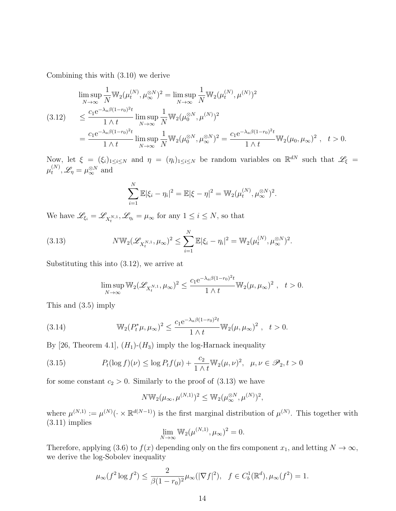Combining this with (3.10) we derive

$$
\limsup_{N \to \infty} \frac{1}{N} \mathbb{W}_2(\mu_t^{(N)}, \mu_\infty^{\otimes N})^2 = \limsup_{N \to \infty} \frac{1}{N} \mathbb{W}_2(\mu_t^{(N)}, \mu^{(N)})^2
$$
\n
$$
(3.12) \le \frac{c_1 e^{-\lambda_a \beta (1 - r_0)^2 t}}{1 \wedge t} \limsup_{N \to \infty} \frac{1}{N} \mathbb{W}_2(\mu_0^{\otimes N}, \mu^{(N)})^2
$$
\n
$$
= \frac{c_1 e^{-\lambda_a \beta (1 - r_0)^2 t}}{1 \wedge t} \limsup_{N \to \infty} \frac{1}{N} \mathbb{W}_2(\mu_0^{\otimes N}, \mu_\infty^{\otimes N})^2 = \frac{c_1 e^{-\lambda_a \beta (1 - r_0)^2 t}}{1 \wedge t} \mathbb{W}_2(\mu_0, \mu_\infty)^2, \quad t > 0.
$$

Now, let  $\xi = (\xi_i)_{1 \leq i \leq N}$  and  $\eta = (\eta_i)_{1 \leq i \leq N}$  be random variables on  $\mathbb{R}^{dN}$  such that  $\mathscr{L}_{\xi}$  $\mu_t^{(N)}$  $t^{(N)}, \mathscr{L}_\eta = \mu_\infty^{\otimes N}$  and

$$
\sum_{i=1}^{N} \mathbb{E} |\xi_i - \eta_i|^2 = \mathbb{E} |\xi - \eta|^2 = \mathbb{W}_2(\mu_t^{(N)}, \mu_\infty^{\otimes N})^2.
$$

We have  $\mathscr{L}_{\xi_i} = \mathscr{L}_{X_t^{N,1}}, \mathscr{L}_{\eta_i} = \mu_\infty$  for any  $1 \leq i \leq N$ , so that

(3.13) 
$$
N \mathbb{W}_2(\mathscr{L}_{X_t^{N,1}}, \mu_\infty)^2 \leq \sum_{i=1}^N \mathbb{E} |\xi_i - \eta_i|^2 = \mathbb{W}_2(\mu_t^{(N)}, \mu_\infty^{\otimes N})^2.
$$

Substituting this into (3.12), we arrive at

$$
\limsup_{N \to \infty} \mathbb{W}_2(\mathscr{L}_{X_t^{N,1}}, \mu_\infty)^2 \le \frac{c_1 e^{-\lambda_a \beta (1 - r_0)^2 t}}{1 \wedge t} \mathbb{W}_2(\mu, \mu_\infty)^2 , \quad t > 0.
$$

This and (3.5) imply

(3.14) 
$$
\mathbb{W}_2(P_t^*\mu,\mu_\infty)^2 \leq \frac{c_1 e^{-\lambda_a \beta (1-r_0)^2 t}}{1 \wedge t} \mathbb{W}_2(\mu,\mu_\infty)^2 , \quad t > 0.
$$

By [26, Theorem 4.1],  $(H_1)$ - $(H_3)$  imply the log-Harnack inequality

(3.15) 
$$
P_t(\log f)(\nu) \le \log P_t f(\mu) + \frac{c_2}{1 \wedge t} \mathbb{W}_2(\mu, \nu)^2, \ \mu, \nu \in \mathscr{P}_2, t > 0
$$

for some constant  $c_2 > 0$ . Similarly to the proof of  $(3.13)$  we have

$$
N \mathbb{W}_2(\mu_\infty, \mu^{(N,1)})^2 \leq \mathbb{W}_2(\mu_\infty^{\otimes N}, \mu^{(N)})^2,
$$

where  $\mu^{(N,1)} := \mu^{(N)}(\cdot \times \mathbb{R}^{d(N-1)})$  is the first marginal distribution of  $\mu^{(N)}$ . This together with  $(3.11)$  implies

$$
\lim_{N \to \infty} \mathbb{W}_2(\mu^{(N,1)}, \mu_\infty)^2 = 0.
$$

Therefore, applying (3.6) to  $f(x)$  depending only on the firs component  $x_1$ , and letting  $N \to \infty$ , we derive the log-Sobolev inequality

$$
\mu_{\infty}(f^2 \log f^2) \le \frac{2}{\beta(1-r_0)^2} \mu_{\infty}(|\nabla f|^2), \quad f \in C_b^1(\mathbb{R}^d), \mu_{\infty}(f^2) = 1.
$$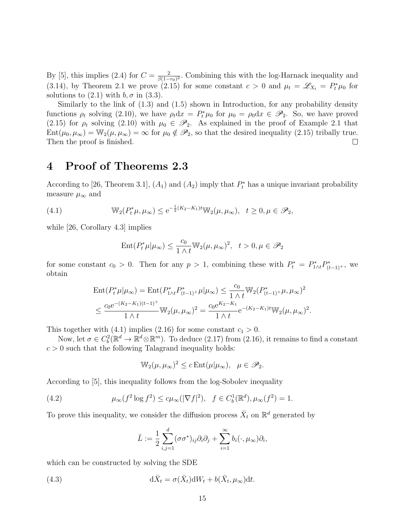By [5], this implies (2.4) for  $C = \frac{2}{\beta(1 - \epsilon)}$  $\frac{2}{\beta(1-r_0)^2}$ . Combining this with the log-Harnack inequality and (3.14), by Theorem 2.1 we prove (2.15) for some constant  $c > 0$  and  $\mu_t = \mathscr{L}_{X_t} = P_t^* \mu_0$  for solutions to  $(2.1)$  with  $b, \sigma$  in  $(3.3)$ .

Similarly to the link of (1.3) and (1.5) shown in Introduction, for any probability density functions  $\rho_t$  solving (2.10), we have  $\rho_t dx = P_t^* \mu_0$  for  $\mu_0 = \rho_0 dx \in \mathcal{P}_2$ . So, we have proved (2.15) for  $\rho_t$  solving (2.10) with  $\mu_0 \in \mathscr{P}_2$ . As explained in the proof of Example 2.1 that  $Ent(\mu_0, \mu_\infty) = \mathbb{W}_2(\mu, \mu_\infty) = \infty$  for  $\mu_0 \notin \mathscr{P}_2$ , so that the desired inequality (2.15) tribally true. Then the proof is finished.  $\Box$ 

### 4 Proof of Theorems 2.3

According to [26, Theorem 3.1],  $(A_1)$  and  $(A_2)$  imply that  $P_t^*$  has a unique invariant probability measure  $\mu_{\infty}$  and

(4.1) 
$$
\mathbb{W}_2(P_t^*\mu, \mu_\infty) \le e^{-\frac{1}{2}(K_2 - K_1)t} \mathbb{W}_2(\mu, \mu_\infty), \quad t \ge 0, \mu \in \mathscr{P}_2,
$$

while [26, Corollary 4.3] implies

$$
\mathrm{Ent}(P_t^*\mu|\mu_\infty)\leq \frac{c_0}{1\wedge t}\mathbb{W}_2(\mu,\mu_\infty)^2,\ \ t>0, \mu\in \mathscr{P}_2
$$

for some constant  $c_0 > 0$ . Then for any  $p > 1$ , combining these with  $P_t^* = P_{1\wedge t}^* P_{(t-1)^+}^*$ , we obtain

$$
\begin{split} &\text{Ent}(P_t^*\mu|\mu_\infty) = \text{Ent}(P_{1\wedge t}^*P_{(t-1)^+}^*\mu|\mu_\infty) \leq \frac{c_0}{1 \wedge t} \mathbb{W}_2(P_{(t-1)^+}^*\mu,\mu_\infty)^2 \\ &\leq \frac{c_0 e^{-(K_2-K_1)(t-1)^+}}{1 \wedge t} \mathbb{W}_2(\mu,\mu_\infty)^2 = \frac{c_0 e^{K_2-K_1}}{1 \wedge t} e^{-(K_2-K_1)t} \mathbb{W}_2(\mu,\mu_\infty)^2. \end{split}
$$

This together with (4.1) implies (2.16) for some constant  $c_1 > 0$ .

Now, let  $\sigma \in C_b^2(\mathbb{R}^d \to \mathbb{R}^d \otimes \mathbb{R}^m)$ . To deduce  $(2.17)$  from  $(2.16)$ , it remains to find a constant  $c > 0$  such that the following Talagrand inequality holds:

$$
\mathbb{W}_2(\mu, \mu_\infty)^2 \le c \operatorname{Ent}(\mu|\mu_\infty), \ \ \mu \in \mathscr{P}_2.
$$

According to [5], this inequality follows from the log-Sobolev inequality

(4.2) 
$$
\mu_{\infty}(f^2 \log f^2) \leq c \mu_{\infty}(|\nabla f|^2), \quad f \in C_b^1(\mathbb{R}^d), \mu_{\infty}(f^2) = 1.
$$

To prove this inequality, we consider the diffusion process  $\bar{X}_t$  on  $\mathbb{R}^d$  generated by

$$
\bar{L} := \frac{1}{2} \sum_{i,j=1}^d (\sigma \sigma^*)_{ij} \partial_i \partial_j + \sum_{i=1}^\infty b_i(\cdot, \mu_\infty) \partial_i,
$$

which can be constructed by solving the SDE

(4.3) 
$$
d\bar{X}_t = \sigma(\bar{X}_t)dW_t + b(\bar{X}_t, \mu_\infty)dt.
$$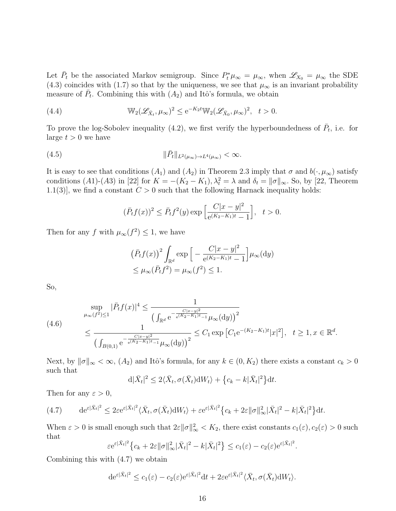Let  $\bar{P}_t$  be the associated Markov semigroup. Since  $P_t^*\mu_\infty = \mu_\infty$ , when  $\mathscr{L}_{X_0} = \mu_\infty$  the SDE (4.3) coincides with (1.7) so that by the uniqueness, we see that  $\mu_{\infty}$  is an invariant probability measure of  $\bar{P}_t$ . Combining this with  $(A_2)$  and Itô's formula, we obtain

(4.4) 
$$
\mathbb{W}_2(\mathscr{L}_{\bar{X}_t}, \mu_\infty)^2 \leq e^{-K_2 t} \mathbb{W}_2(\mathscr{L}_{\bar{X}_0}, \mu_\infty)^2, \quad t > 0.
$$

To prove the log-Sobolev inequality (4.2), we first verify the hyperboundedness of  $\bar{P}_t$ , i.e. for large  $t > 0$  we have

$$
(4.5) \t\t\t ||\bar{P}_t||_{L^2(\mu_\infty)\to L^4(\mu_\infty)} < \infty.
$$

It is easy to see that conditions  $(A_1)$  and  $(A_2)$  in Theorem 2.3 imply that  $\sigma$  and  $b(\cdot,\mu_\infty)$  satisfy conditions (A1)-(A3) in [22] for  $K = -(K_2 - K_1), \lambda_t^2 = \lambda$  and  $\delta_t = ||\sigma||_{\infty}$ . So, by [22, Theorem 1.1(3)], we find a constant  $C > 0$  such that the following Harnack inequality holds:

$$
(\bar{P}_t f(x))^2 \le \bar{P}_t f^2(y) \exp\left[\frac{C|x-y|^2}{e^{(K_2-K_1)t} - 1}\right], \quad t > 0.
$$

Then for any f with  $\mu_{\infty}(f^2) \leq 1$ , we have

$$
(\bar{P}_t f(x))^2 \int_{\mathbb{R}^d} \exp\left[-\frac{C|x-y|^2}{e^{(K_2-K_1)t}-1}\right] \mu_\infty(\mathrm{d}y)
$$
  
\$\leq \mu\_\infty(\bar{P}\_t f^2) = \mu\_\infty(f^2) \leq 1.\$

So,

$$
\sup_{\mu_{\infty}(f^2) \le 1} |\bar{P}_t f(x)|^4 \le \frac{1}{\left(\int_{\mathbb{R}^d} e^{-\frac{C|x-y|^2}{e^{(K_2 - K_1)t} - 1}} \mu_{\infty}(dy)\right)^2} \le C_1 \exp\left[C_1 e^{-(K_2 - K_1)t} |x|^2\right], \quad t \ge 1, x \in \mathbb{R}^d.
$$
\n
$$
\frac{1}{\left(\int_{B(0,1)} e^{-\frac{C|x-y|^2}{e^{(K_2 - K_1)t} - 1}} \mu_{\infty}(dy)\right)^2} \le C_1 \exp\left[C_1 e^{-(K_2 - K_1)t} |x|^2\right], \quad t \ge 1, x \in \mathbb{R}^d.
$$

Next, by  $\|\sigma\|_{\infty} < \infty$ ,  $(A_2)$  and Itô's formula, for any  $k \in (0, K_2)$  there exists a constant  $c_k > 0$ such that

$$
d|\bar{X}_t|^2 \le 2\langle \bar{X}_t, \sigma(\bar{X}_t) dW_t \rangle + \left\{c_k - k|\bar{X}_t|^2\right\} dt.
$$

Then for any  $\varepsilon > 0$ ,

(4.7) 
$$
\mathrm{d} \mathrm{e}^{\varepsilon |\bar{X}_t|^2} \leq 2\varepsilon \mathrm{e}^{\varepsilon |\bar{X}_t|^2} \langle \bar{X}_t, \sigma(\bar{X}_t) \mathrm{d} W_t \rangle + \varepsilon \mathrm{e}^{\varepsilon |\bar{X}_t|^2} \big\{ c_k + 2\varepsilon ||\sigma||^2_{\infty} |\bar{X}_t|^2 - k|\bar{X}_t|^2 \big\} \mathrm{d} t.
$$

When  $\varepsilon > 0$  is small enough such that  $2\varepsilon \|\sigma\|^2_{\infty} < K_2$ , there exist constants  $c_1(\varepsilon)$ ,  $c_2(\varepsilon) > 0$  such that

$$
\varepsilon e^{\varepsilon |\bar{X}_t|^2} \left\{ c_k + 2\varepsilon \|\sigma\|_{\infty}^2 |\bar{X}_t|^2 - k|\bar{X}_t|^2 \right\} \le c_1(\varepsilon) - c_2(\varepsilon) e^{\varepsilon |\bar{X}_t|^2}
$$

.

Combining this with (4.7) we obtain

$$
\mathrm{d}\mathrm{e}^{\varepsilon|\bar{X}_t|^2} \le c_1(\varepsilon) - c_2(\varepsilon) \mathrm{e}^{\varepsilon|\bar{X}_t|^2} \mathrm{d}t + 2\varepsilon \mathrm{e}^{\varepsilon|\bar{X}_t|^2} \langle \bar{X}_t, \sigma(\bar{X}_t) \mathrm{d}W_t \rangle.
$$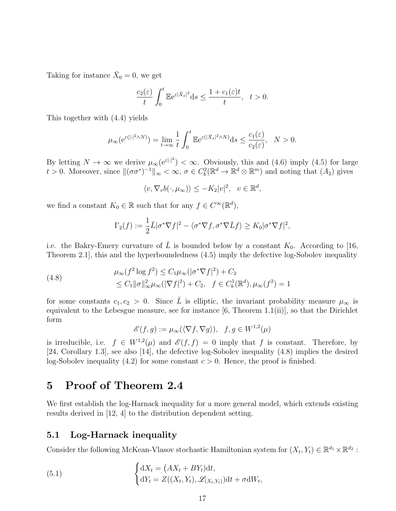Taking for instance  $\bar{X}_0 = 0$ , we get

$$
\frac{c_2(\varepsilon)}{t} \int_0^t \mathbb{E} e^{\varepsilon |\bar{X}_s|^2} ds \le \frac{1 + c_1(\varepsilon)t}{t}, \quad t > 0.
$$

This together with (4.4) yields

$$
\mu_{\infty}(\mathrm{e}^{\varepsilon(|\cdot|^2 \wedge N)}) = \lim_{t \to \infty} \frac{1}{t} \int_0^t \mathbb{E} \mathrm{e}^{\varepsilon(|\bar{X}_s|^2 \wedge N)} \mathrm{d}s \le \frac{c_1(\varepsilon)}{c_2(\varepsilon)}, \quad N > 0.
$$

By letting  $N \to \infty$  we derive  $\mu_{\infty}(e^{\varepsilon|\cdot|^2}) < \infty$ . Obviously, this and (4.6) imply (4.5) for large t > 0. Moreover, since  $\|(\sigma\sigma^*)^{-1}\|_{\infty} < \infty$ ,  $\sigma \in C_b^2(\mathbb{R}^d \to \mathbb{R}^d \otimes \mathbb{R}^m)$  and noting that  $(A_2)$  gives

$$
\langle v, \nabla_v b(\cdot, \mu_\infty) \rangle \le -K_2 |v|^2, \quad v \in \mathbb{R}^d,
$$

we find a constant  $K_0 \in \mathbb{R}$  such that for any  $f \in C^{\infty}(\mathbb{R}^d)$ ,

$$
\Gamma_2(f) := \frac{1}{2}\bar{L}|\sigma^*\nabla f|^2 - \langle \sigma^*\nabla f, \sigma^*\nabla \bar{L}f \rangle \ge K_0|\sigma^*\nabla f|^2,
$$

i.e. the Bakry-Emery curvature of L is bounded below by a constant  $K_0$ . According to [16, Theorem 2.1], this and the hyperboundedness (4.5) imply the defective log-Sobolev inequality

(4.8) 
$$
\mu_{\infty}(f^{2} \log f^{2}) \leq C_{1} \mu_{\infty}(|\sigma^{*}\nabla f|^{2}) + C_{2} \leq C_{1} \|\sigma\|_{\infty}^{2} \mu_{\infty}(|\nabla f|^{2}) + C_{2}, \quad f \in C_{b}^{1}(\mathbb{R}^{d}), \mu_{\infty}(f^{2}) = 1
$$

for some constants  $c_1, c_2 > 0$ . Since  $\overline{L}$  is elliptic, the invariant probability measure  $\mu_{\infty}$  is equivalent to the Lebesgue measure, see for instance [6, Theorem 1.1(ii)], so that the Dirichlet form

$$
\mathscr{E}(f,g) := \mu_{\infty}(\langle \nabla f, \nabla g \rangle), \quad f, g \in W^{1,2}(\mu)
$$

is irreducible, i.e.  $f \in W^{1,2}(\mu)$  and  $\mathscr{E}(f,f) = 0$  imply that f is constant. Therefore, by [24, Corollary 1.3], see also [14], the defective log-Sobolev inequality (4.8) implies the desired log-Sobolev inequality (4.2) for some constant  $c > 0$ . Hence, the proof is finished.

## 5 Proof of Theorem 2.4

We first establish the log-Harnack inequality for a more general model, which extends existing results derived in [12, 4] to the distribution dependent setting.

### 5.1 Log-Harnack inequality

Consider the following McKean-Vlasov stochastic Hamiltonian system for  $(X_t, Y_t) \in \mathbb{R}^{d_1} \times \mathbb{R}^{d_2}$ :

(5.1) 
$$
\begin{cases} dX_t = (AX_t + BY_t)dt, \\ dY_t = Z((X_t, Y_t), \mathscr{L}_{(X_t, Y_t)})dt + \sigma dW_t, \end{cases}
$$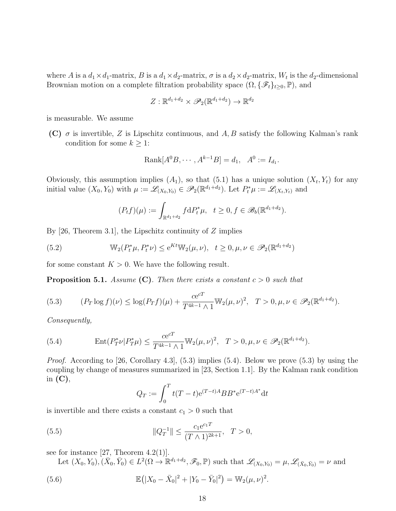where A is a  $d_1 \times d_1$ -matrix, B is a  $d_1 \times d_2$ -matrix,  $\sigma$  is a  $d_2 \times d_2$ -matrix,  $W_t$  is the  $d_2$ -dimensional Brownian motion on a complete filtration probability space  $(\Omega, \{\mathscr{F}_t\}_{t\geq0}, \mathbb{P})$ , and

$$
Z: \mathbb{R}^{d_1+d_2} \times \mathscr{P}_2(\mathbb{R}^{d_1+d_2}) \to \mathbb{R}^{d_2}
$$

is measurable. We assume

(C)  $\sigma$  is invertible, Z is Lipschitz continuous, and A, B satisfy the following Kalman's rank condition for some  $k \geq 1$ :

Rank[
$$
A^0B, \cdots, A^{k-1}B
$$
] =  $d_1, A^0 := I_{d_1}.$ 

Obviously, this assumption implies  $(A_1)$ , so that  $(5.1)$  has a unique solution  $(X_t, Y_t)$  for any initial value  $(X_0, Y_0)$  with  $\mu := \mathscr{L}_{(X_0, Y_0)} \in \mathscr{P}_2(\mathbb{R}^{d_1+d_2})$ . Let  $P_t^* \mu := \mathscr{L}_{(X_t, Y_t)}$  and

$$
(P_t f)(\mu) := \int_{\mathbb{R}^{d_1+d_2}} f \, dP_t^* \mu, \quad t \ge 0, f \in \mathscr{B}_b(\mathbb{R}^{d_1+d_2}).
$$

By  $[26,$  Theorem 3.1, the Lipschitz continuity of Z implies

(5.2) 
$$
\mathbb{W}_2(P_t^*\mu, P_t^*\nu) \le e^{Kt} \mathbb{W}_2(\mu, \nu), \quad t \ge 0, \mu, \nu \in \mathscr{P}_2(\mathbb{R}^{d_1+d_2})
$$

for some constant  $K > 0$ . We have the following result.

**Proposition 5.1.** Assume (C). Then there exists a constant  $c > 0$  such that

(5.3) 
$$
(P_T \log f)(\nu) \le \log(P_T f)(\mu) + \frac{ce^{cT}}{T^{4k-1} \wedge 1} \mathbb{W}_2(\mu, \nu)^2, \quad T > 0, \mu, \nu \in \mathscr{P}_2(\mathbb{R}^{d_1 + d_2}).
$$

Consequently,

(5.4) 
$$
\operatorname{Ent}(P_T^*\nu|P_T^*\mu) \le \frac{ce^{cT}}{T^{4k-1}\wedge 1}\mathbb{W}_2(\mu,\nu)^2, \quad T > 0, \mu, \nu \in \mathscr{P}_2(\mathbb{R}^{d_1+d_2}).
$$

*Proof.* According to [26, Corollary 4.3],  $(5.3)$  implies  $(5.4)$ . Below we prove  $(5.3)$  by using the coupling by change of measures summarized in [23, Section 1.1]. By the Kalman rank condition in  $(C)$ ,

$$
Q_T := \int_0^T t(T - t) e^{(T - t)A} B B^* e^{(T - t)A^*} dt
$$

is invertible and there exists a constant  $c_1 > 0$  such that

(5.5) 
$$
\|Q_T^{-1}\| \le \frac{c_1 e^{c_1 T}}{(T \wedge 1)^{2k+1}}, \ T > 0,
$$

see for instance  $[27,$  Theorem 4.2(1).

Let  $(X_0, Y_0), (\bar{X}_0, \bar{Y}_0) \in L^2(\Omega \to \mathbb{R}^{d_1+d_2}, \mathscr{F}_0, \mathbb{P})$  such that  $\mathscr{L}_{(X_0, Y_0)} = \mu, \mathscr{L}_{(\bar{X}_0, \bar{Y}_0)} = \nu$  and

(5.6) 
$$
\mathbb{E}(|X_0 - \bar{X}_0|^2 + |Y_0 - \bar{Y}_0|^2) = \mathbb{W}_2(\mu, \nu)^2.
$$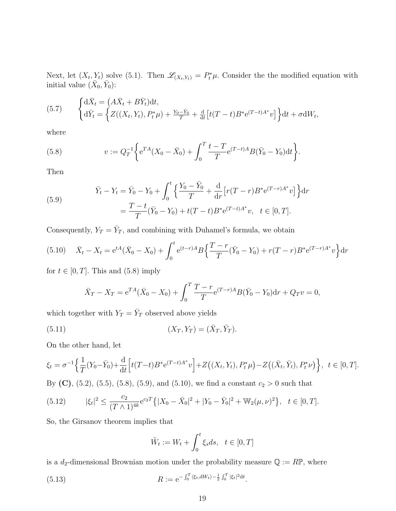Next, let  $(X_t, Y_t)$  solve (5.1). Then  $\mathscr{L}_{(X_t, Y_t)} = P_t^* \mu$ . Consider the the modified equation with initial value  $(\bar{X}_0, \bar{Y}_0)$ :

(5.7) 
$$
\begin{cases} d\bar{X}_t = (A\bar{X}_t + B\bar{Y}_t)dt, \\ d\bar{Y}_t = \left\{ Z((X_t, Y_t), P_t^*\mu) + \frac{Y_0 - \bar{Y}_0}{T} + \frac{d}{dt} \left[ t(T-t)B^* e^{(T-t)A^*}v \right] \right\} dt + \sigma dW_t, \end{cases}
$$

where

(5.8) 
$$
v := Q_T^{-1} \bigg\{ e^{TA}(X_0 - \bar{X}_0) + \int_0^T \frac{t - T}{T} e^{(T - t)A} B(\bar{Y}_0 - Y_0) dt \bigg\}.
$$

Then

(5.9) 
$$
\bar{Y}_t - Y_t = \bar{Y}_0 - Y_0 + \int_0^t \left\{ \frac{Y_0 - \bar{Y}_0}{T} + \frac{d}{dr} \left[ r(T - r) B^* e^{(T - r)A^*} v \right] \right\} dr
$$

$$
= \frac{T - t}{T} (\bar{Y}_0 - Y_0) + t(T - t) B^* e^{(T - t)A^*} v, \quad t \in [0, T].
$$

Consequently,  $Y_T = \overline{Y}_T$ , and combining with Duhamel's formula, we obtain

$$
(5.10) \quad \bar{X}_t - X_t = e^{tA}(\bar{X}_0 - X_0) + \int_0^t e^{(t-r)A} B\left\{ \frac{T-r}{T}(\bar{Y}_0 - Y_0) + r(T-r)B^* e^{(T-r)A^*} v \right\} dr
$$

for  $t \in [0, T]$ . This and  $(5.8)$  imply

$$
\bar{X}_T - X_T = e^{TA}(\bar{X}_0 - X_0) + \int_0^T \frac{T - r}{T} e^{(T - r)A} B(\bar{Y}_0 - Y_0) dr + Q_T v = 0,
$$

which together with  $Y_T = \overline{Y}_T$  observed above yields

(5.11) 
$$
(X_T, Y_T) = (\bar{X}_T, \bar{Y}_T).
$$

On the other hand, let

$$
\xi_t = \sigma^{-1}\Big\{\frac{1}{T}(Y_0 - \bar{Y}_0) + \frac{d}{dt}\Big[t(T-t)B^* e^{(T-t)A^*}v\Big] + Z\big((X_t, Y_t), P_t^*\mu\big) - Z\big((\bar{X}_t, \bar{Y}_t), P_t^*\nu\big)\Big\}, \ t \in [0, T].
$$

By (C), (5.2), (5.5), (5.8), (5.9), and (5.10), we find a constant  $c_2 > 0$  such that

(5.12) 
$$
|\xi_t|^2 \leq \frac{c_2}{(T\wedge 1)^{4k}} e^{c_2 T} \{ |X_0 - \bar{X}_0|^2 + |Y_0 - \bar{Y}_0|^2 + \mathbb{W}_2(\mu, \nu)^2 \}, \quad t \in [0, T].
$$

So, the Girsanov theorem implies that

$$
\tilde{W}_t := W_t + \int_0^t \xi_s ds, \quad t \in [0, T]
$$

is a  $d_2$ -dimensional Brownian motion under the probability measure  $\mathbb{Q} := R\mathbb{P}$ , where

(5.13) 
$$
R := e^{-\int_0^T \langle \xi_t, dW_t \rangle - \frac{1}{2} \int_0^T |\xi_t|^2 dt}.
$$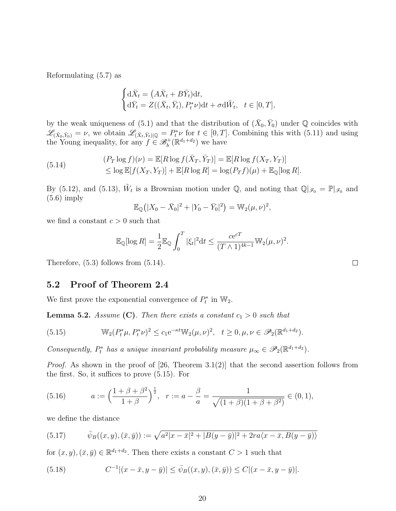Reformulating (5.7) as

$$
\begin{cases} d\bar{X}_t = (A\bar{X}_t + B\bar{Y}_t)dt, \\ d\bar{Y}_t = Z((\bar{X}_t, \bar{Y}_t), P_t^*\nu)dt + \sigma d\tilde{W}_t, \quad t \in [0, T], \end{cases}
$$

by the weak uniqueness of (5.1) and that the distribution of  $(\bar{X}_0, \bar{Y}_0)$  under Q coincides with  $\mathscr{L}_{(\bar{X}_0,\bar{Y}_0)} = \nu$ , we obtain  $\mathscr{L}_{(\bar{X}_t,\bar{Y}_t)|\mathbb{Q}} = P_t^*\nu$  for  $t \in [0,T]$ . Combining this with  $(5.11)$  and using the Young inequality, for any  $f \in \mathcal{B}_b^+(\mathbb{R}^{d_1+d_2})$  we have

(5.14) 
$$
(P_T \log f)(\nu) = \mathbb{E}[R \log f(\bar{X}_T, \bar{Y}_T)] = \mathbb{E}[R \log f(X_T, Y_T)]
$$

$$
\leq \log \mathbb{E}[f(X_T, Y_T)] + \mathbb{E}[R \log R] = \log(P_T f)(\mu) + \mathbb{E}_{\mathbb{Q}}[\log R].
$$

By (5.12), and (5.13),  $\tilde{W}_t$  is a Brownian motion under Q, and noting that  $\mathbb{Q}|_{\mathscr{F}_0} = \mathbb{P}|_{\mathscr{F}_0}$  and  $(5.6)$  imply

$$
\mathbb{E}_{\mathbb{Q}}(|X_0 - \bar{X}_0|^2 + |Y_0 - \bar{Y}_0|^2) = \mathbb{W}_2(\mu, \nu)^2,
$$

we find a constant  $c > 0$  such that

$$
\mathbb{E}_{\mathbb{Q}}[\log R] = \frac{1}{2} \mathbb{E}_{\mathbb{Q}} \int_0^T |\xi_t|^2 dt \le \frac{c e^{cT}}{(T \wedge 1)^{4k-1}} \mathbb{W}_2(\mu, \nu)^2.
$$

Therefore, (5.3) follows from (5.14).

### 5.2 Proof of Theorem 2.4

We first prove the exponential convergence of  $P_t^*$  in  $\mathbb{W}_2$ .

**Lemma 5.2.** Assume (C). Then there exists a constant  $c_1 > 0$  such that

(5.15) 
$$
\mathbb{W}_2(P_t^*\mu, P_t^*\nu)^2 \le c_1 e^{-\kappa t} \mathbb{W}_2(\mu, \nu)^2, \quad t \ge 0, \mu, \nu \in \mathscr{P}_2(\mathbb{R}^{d_1+d_2}).
$$

Consequently,  $P_t^*$  has a unique invariant probability measure  $\mu_{\infty} \in \mathscr{P}_2(\mathbb{R}^{d_1+d_2})$ .

*Proof.* As shown in the proof of [26, Theorem 3.1(2)] that the second assertion follows from the first. So, it suffices to prove (5.15). For

(5.16) 
$$
a := \left(\frac{1+\beta+\beta^2}{1+\beta}\right)^{\frac{1}{2}}, \quad r := a - \frac{\beta}{a} = \frac{1}{\sqrt{(1+\beta)(1+\beta+\beta^2)}} \in (0,1),
$$

we define the distance

(5.17) 
$$
\bar{\psi}_B((x,y),(\bar{x},\bar{y})) := \sqrt{a^2|x-\bar{x}|^2 + |B(y-\bar{y})|^2 + 2ra\langle x-\bar{x},B(y-\bar{y})\rangle}
$$

for  $(x, y), (\bar{x}, \bar{y}) \in \mathbb{R}^{d_1+d_2}$ . Then there exists a constant  $C > 1$  such that

(5.18) 
$$
C^{-1}|(x-\bar{x},y-\bar{y})| \leq \bar{\psi}_B((x,y),(\bar{x},\bar{y})) \leq C|(x-\bar{x},y-\bar{y})|.
$$

 $\Box$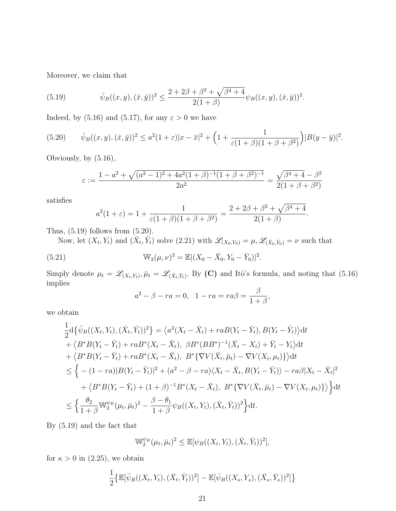Moreover, we claim that

(5.19) 
$$
\bar{\psi}_B((x,y),(\bar{x},\bar{y}))^2 \leq \frac{2+2\beta+\beta^2+\sqrt{\beta^4+4}}{2(1+\beta)}\psi_B((x,y),(\bar{x},\bar{y}))^2.
$$

Indeed, by (5.16) and (5.17), for any  $\varepsilon > 0$  we have

$$
(5.20) \qquad \bar{\psi}_B((x,y),(\bar{x},\bar{y}))^2 \le a^2(1+\varepsilon)|x-\bar{x}|^2 + \Big(1+\frac{1}{\varepsilon(1+\beta)(1+\beta+\beta^2)}\Big)|B(y-\bar{y})|^2.
$$

Obviously, by (5.16),

$$
\varepsilon := \frac{1 - a^2 + \sqrt{(a^2 - 1)^2 + 4a^2(1 + \beta)^{-1}(1 + \beta + \beta^2)^{-1}}}{{2a^2}} = \frac{\sqrt{\beta^4 + 4} - \beta^2}{2(1 + \beta + \beta^2)}
$$

satisfies

$$
a^{2}(1+\varepsilon) = 1 + \frac{1}{\varepsilon(1+\beta)(1+\beta+\beta^{2})} = \frac{2+2\beta+\beta^{2}+\sqrt{\beta^{4}+4}}{2(1+\beta)}.
$$

Thus,  $(5.19)$  follows from  $(5.20)$ .

Now, let  $(X_t, Y_t)$  and  $(\overline{X}_t, \overline{Y}_t)$  solve  $(2.21)$  with  $\mathscr{L}_{(X_0, Y_0)} = \mu, \mathscr{L}_{(\overline{X}_0, \overline{Y}_0)} = \nu$  such that

(5.21) 
$$
\mathbb{W}_2(\mu,\nu)^2 = \mathbb{E}|(X_0 - \bar{X}_0, Y_0 - \bar{Y}_0)|^2.
$$

Simply denote  $\mu_t = \mathscr{L}_{(X_t,Y_t)}, \bar{\mu}_t = \mathscr{L}_{(\bar{X}_t,\bar{Y}_t)}$ . By (C) and Itô's formula, and noting that (5.16) implies

$$
a^2 - \beta - ra = 0
$$
,  $1 - ra = ra\beta = \frac{\beta}{1 + \beta}$ ,

we obtain

$$
\frac{1}{2}d\{\bar{\psi}_{B}((X_{t},Y_{t}),(\bar{X}_{t},\bar{Y}_{t}))^{2}\} = \langle a^{2}(X_{t}-\bar{X}_{t})+raB(Y_{t}-\bar{Y}_{t}),B(Y_{t}-\bar{Y}_{t})\rangle dt \n+ \langle B^{*}B(Y_{t}-\bar{Y}_{t})+raB^{*}(X_{t}-\bar{X}_{t}),\ \beta B^{*}(BB^{*})^{-1}(\bar{X}_{t}-X_{t})+\bar{Y}_{t}-Y_{t}\rangle dt \n+ \langle B^{*}B(Y_{t}-\bar{Y}_{t})+raB^{*}(X_{t}-\bar{X}_{t}),\ B^{*}\{\nabla V(\bar{X}_{t},\bar{\mu}_{t})-\nabla V(X_{t},\mu_{t})\}\rangle dt \n\leq \left\{-(1-ra)|B(Y_{t}-\bar{Y}_{t})|^{2}+(a^{2}-\beta-ra)(X_{t}-\bar{X}_{t},B(Y_{t}-\bar{Y}_{t}))-ra\beta|X_{t}-\bar{X}_{t}|^{2} \n+ \langle B^{*}B(Y_{t}-\bar{Y}_{t})+(1+\beta)^{-1}B^{*}(X_{t}-\bar{X}_{t}),\ B^{*}\{\nabla V(\bar{X}_{t},\bar{\mu}_{t})-\nabla V(X_{t},\mu_{t})\}\rangle\right\} dt \n\leq \left\{\frac{\theta_{2}}{1+\beta}W_{2}^{\psi_{B}}(\mu_{t},\bar{\mu}_{t})^{2}-\frac{\beta-\theta_{1}}{1+\beta}\psi_{B}((X_{t},Y_{t}),(\bar{X}_{t},\bar{Y}_{t}))^{2}\right\} dt.
$$

By (5.19) and the fact that

$$
\mathbb{W}_2^{\psi_B}(\mu_t, \bar{\mu}_t)^2 \leq \mathbb{E}[\psi_B((X_t, Y_t), (\bar{X}_t, \bar{Y}_t))^2],
$$

for  $\kappa > 0$  in (2.25), we obtain

$$
\frac{1}{2} \{ \mathbb{E}[\bar{\psi}_B((X_t, Y_t), (\bar{X}_t, \bar{Y}_t))^2] - \mathbb{E}[\bar{\psi}_B((X_s, Y_s), (\bar{X}_s, \bar{Y}_s))^2] \}
$$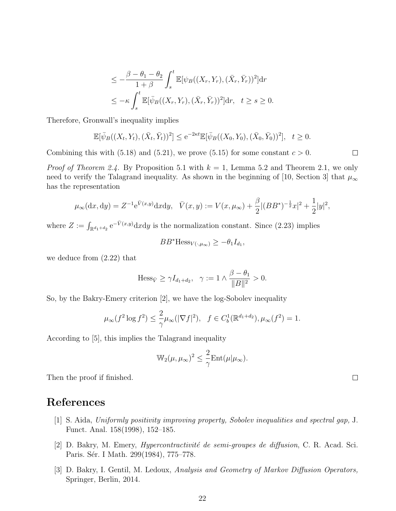$$
\gamma I_{d_1+d_2}, \quad \gamma := 1 \wedge \frac{\beta}{\|i\|}
$$

So, by the Bakry-Emery criterion [2], we have the log-Sobolev inequality

$$
\mu_{\infty}(f^2 \log f^2) \le \frac{2}{\gamma} \mu_{\infty}(|\nabla f|^2), \quad f \in C_b^1(\mathbb{R}^{d_1+d_2}), \mu_{\infty}(f^2) = 1.
$$

According to [5], this implies the Talagrand inequality

$$
\mathbb{W}_2(\mu, \mu_\infty)^2 \le \frac{2}{\gamma} \mathrm{Ent}(\mu|\mu_\infty).
$$

Then the proof if finished.

# References

- [1] S. Aida, Uniformly positivity improving property, Sobolev inequalities and spectral gap, J. Funct. Anal. 158(1998), 152–185.
- [2] D. Bakry, M. Emery, *Hypercontractivité de semi-groupes de diffusion*, C. R. Acad. Sci. Paris. Sér. I Math. 299(1984), 775–778.
- [3] D. Bakry, I. Gentil, M. Ledoux, Analysis and Geometry of Markov Diffusion Operators, Springer, Berlin, 2014.

$$
\leq -\frac{\beta - \theta_1 - \theta_2}{1 + \beta} \int_s^t \mathbb{E}[\psi_B((X_r, Y_r), (\bar{X}_r, \bar{Y}_r))^2] dr
$$
  

$$
\leq -\kappa \int_s^t \mathbb{E}[\bar{\psi}_B((X_r, Y_r), (\bar{X}_r, \bar{Y}_r))^2] dr, \quad t \geq s \geq 0.
$$

Therefore, Gronwall's inequality implies

$$
\mathbb{E}[\bar{\psi}_B((X_t, Y_t), (\bar{X}_t, \bar{Y}_t))^2] \le e^{-2\kappa t} \mathbb{E}[\bar{\psi}_B((X_0, Y_0), (\bar{X}_0, \bar{Y}_0))^2], \quad t \ge 0.
$$

Combining this with (5.18) and (5.21), we prove (5.15) for some constant  $c > 0$ .

*Proof of Theorem 2.4.* By Proposition 5.1 with  $k = 1$ , Lemma 5.2 and Theorem 2.1, we only need to verify the Talagrand inequality. As shown in the beginning of [10, Section 3] that  $\mu_{\infty}$ has the representation

$$
\mu_{\infty}(\mathrm{d}x,\mathrm{d}y) = Z^{-1}e^{\bar{V}(x,y)}\mathrm{d}x\mathrm{d}y, \quad \bar{V}(x,y) := V(x,\mu_{\infty}) + \frac{\beta}{2}|(BB^*)^{-\frac{1}{2}}x|^2 + \frac{1}{2}|y|^2,
$$

where 
$$
Z := \int_{\mathbb{R}^{d_1+d_2}} e^{-\bar{V}(x,y)} dx dy
$$
 is the normalization constant. Since (2.23) implies

$$
BB^* \text{Hess}_{V(\cdot,\mu_\infty)} \ge -\theta_1 I_{d_1},
$$

we deduce from (2.22) that 
$$
\frac{1}{\sqrt{2\pi}} \int_{-\infty}^{\infty} \frac{1}{\sqrt{2\pi}} \, dx
$$

$$
\langle \cdot, \cdot \rangle = \langle \cdot, \cdot \rangle
$$

$$
\mathrm{Hess}_{\bar{V}} \ge \gamma I_{d_1 + d_2}, \quad \gamma := 1 \wedge \frac{\beta - \theta_1}{\|B\|^2} > 0.
$$

 $\Box$ 

 $\Box$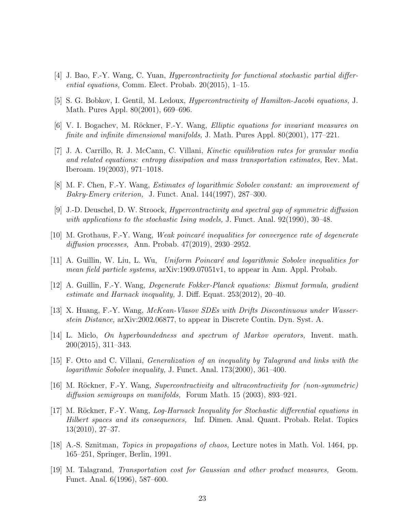- [4] J. Bao, F.-Y. Wang, C. Yuan, Hypercontractivity for functional stochastic partial differential equations, Comm. Elect. Probab. 20(2015), 1–15.
- [5] S. G. Bobkov, I. Gentil, M. Ledoux, Hypercontractivity of Hamilton-Jacobi equations, J. Math. Pures Appl. 80(2001), 669–696.
- [6] V. I. Bogachev, M. Röckner, F.-Y. Wang, *Elliptic equations for invariant measures on* finite and infinite dimensional manifolds, J. Math. Pures Appl. 80(2001), 177–221.
- [7] J. A. Carrillo, R. J. McCann, C. Villani, Kinetic equilibration rates for granular media and related equations: entropy dissipation and mass transportation estimates, Rev. Mat. Iberoam. 19(2003), 971–1018.
- [8] M. F. Chen, F.-Y. Wang, Estimates of logarithmic Sobolev constant: an improvement of Bakry-Emery criterion, J. Funct. Anal. 144(1997), 287–300.
- [9] J.-D. Deuschel, D. W. Stroock, Hypercontractivity and spectral gap of symmetric diffusion with applications to the stochastic Ising models, J. Funct. Anal. 92(1990), 30–48.
- $[10]$  M. Grothaus, F.-Y. Wang, Weak poincaré inequalities for convergence rate of degenerate diffusion processes, Ann. Probab. 47(2019), 2930–2952.
- [11] A. Guillin, W. Liu, L. Wu, Uniform Poincaré and logarithmic Sobolev inequalities for mean field particle systems, arXiv:1909.07051v1, to appear in Ann. Appl. Probab.
- [12] A. Guillin, F.-Y. Wang, Degenerate Fokker-Planck equations: Bismut formula, gradient estimate and Harnack inequality, J. Diff. Equat. 253(2012), 20–40.
- [13] X. Huang, F.-Y. Wang, McKean-Vlasov SDEs with Drifts Discontinuous under Wasserstein Distance, arXiv:2002.06877, to appear in Discrete Contin. Dyn. Syst. A.
- [14] L. Miclo, On hyperboundedness and spectrum of Markov operators, Invent. math. 200(2015), 311–343.
- [15] F. Otto and C. Villani, Generalization of an inequality by Talagrand and links with the logarithmic Sobolev inequality, J. Funct. Anal. 173(2000), 361–400.
- [16] M. Röckner, F.-Y. Wang, Supercontractivity and ultracontractivity for (non-symmetric) diffusion semigroups on manifolds, Forum Math. 15 (2003), 893–921.
- [17] M. Röckner, F.-Y. Wang, *Log-Harnack Inequality for Stochastic differential equations in* Hilbert spaces and its consequences, Inf. Dimen. Anal. Quant. Probab. Relat. Topics 13(2010), 27–37.
- [18] A.-S. Sznitman, Topics in propagations of chaos, Lecture notes in Math. Vol. 1464, pp. 165–251, Springer, Berlin, 1991.
- [19] M. Talagrand, Transportation cost for Gaussian and other product measures, Geom. Funct. Anal. 6(1996), 587–600.